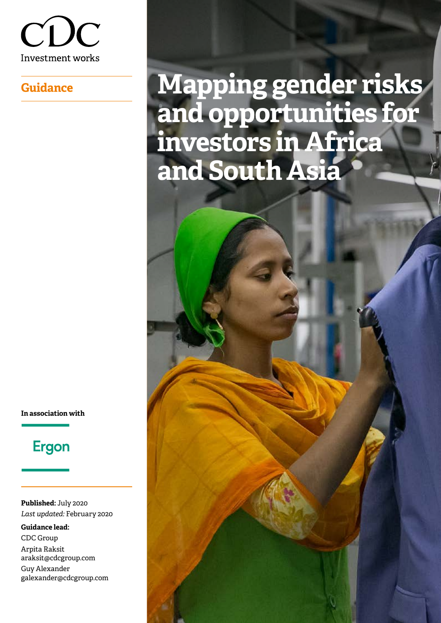

# **Guidance Mapping gender risks and opportunities for investors in Africa and South Asia**

**In association with**

# **Ergon**

**Published:** July 2020 *Last updated:* February 2020

**Guidance lead:** CDC Group Arpita Raksit [araksit@cdcgroup.com](mailto:araksit%40cdcgroup.com?subject=) Guy Alexander [galexander@cdcgroup.com](mailto:galexander%40cdcgroup.com?subject=)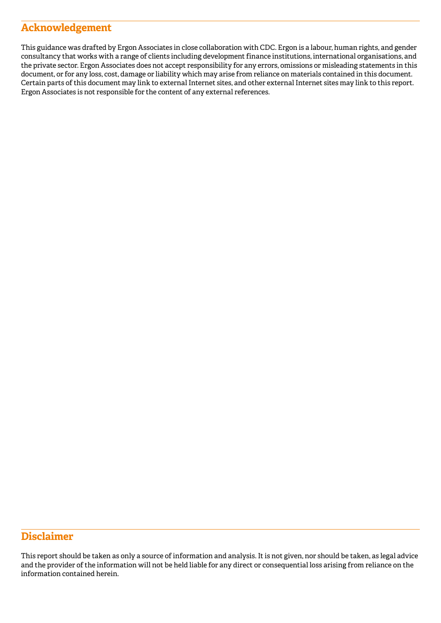### **Acknowledgement**

This guidance was drafted by Ergon Associates in close collaboration with CDC. Ergon is a labour, human rights, and gender consultancy that works with a range of clients including development finance institutions, international organisations, and the private sector. Ergon Associates does not accept responsibility for any errors, omissions or misleading statements in this document, or for any loss, cost, damage or liability which may arise from reliance on materials contained in this document. Certain parts of this document may link to external Internet sites, and other external Internet sites may link to this report. Ergon Associates is not responsible for the content of any external references.

### **Disclaimer**

This report should be taken as only a source of information and analysis. It is not given, nor should be taken, as legal advice and the provider of the information will not be held liable for any direct or consequential loss arising from reliance on the information contained herein.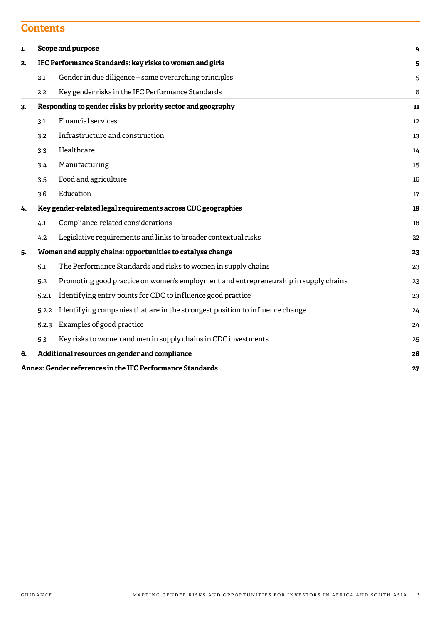### **Contents**

| 1. |                                                              | Scope and purpose<br>4                                                              |    |  |
|----|--------------------------------------------------------------|-------------------------------------------------------------------------------------|----|--|
| 2. | IFC Performance Standards: key risks to women and girls      |                                                                                     |    |  |
|    | 2.1                                                          | Gender in due diligence – some overarching principles                               | 5  |  |
|    | 2.2                                                          | Key gender risks in the IFC Performance Standards                                   | 6  |  |
| 3. |                                                              | Responding to gender risks by priority sector and geography                         | 11 |  |
|    | 3.1                                                          | <b>Financial services</b>                                                           | 12 |  |
|    | 3.2                                                          | Infrastructure and construction                                                     | 13 |  |
|    | 3.3                                                          | Healthcare                                                                          | 14 |  |
|    | 3.4                                                          | Manufacturing                                                                       | 15 |  |
|    | 3.5                                                          | Food and agriculture                                                                | 16 |  |
|    | 3.6                                                          | Education                                                                           | 17 |  |
| 4. | Key gender-related legal requirements across CDC geographies |                                                                                     |    |  |
|    | 4.1                                                          | Compliance-related considerations                                                   | 18 |  |
|    | 4.2                                                          | Legislative requirements and links to broader contextual risks                      | 22 |  |
| 5. |                                                              | Women and supply chains: opportunities to catalyse change                           | 23 |  |
|    | 5.1                                                          | The Performance Standards and risks to women in supply chains                       | 23 |  |
|    | 5.2                                                          | Promoting good practice on women's employment and entrepreneurship in supply chains | 23 |  |
|    | 5.2.1                                                        | Identifying entry points for CDC to influence good practice                         | 23 |  |
|    | 5.2.2                                                        | Identifying companies that are in the strongest position to influence change        | 24 |  |
|    | 5.2.3                                                        | Examples of good practice                                                           | 24 |  |
|    | 5.3                                                          | Key risks to women and men in supply chains in CDC investments                      | 25 |  |
| 6. |                                                              | Additional resources on gender and compliance                                       | 26 |  |
|    |                                                              | Annex: Gender references in the IFC Performance Standards                           | 27 |  |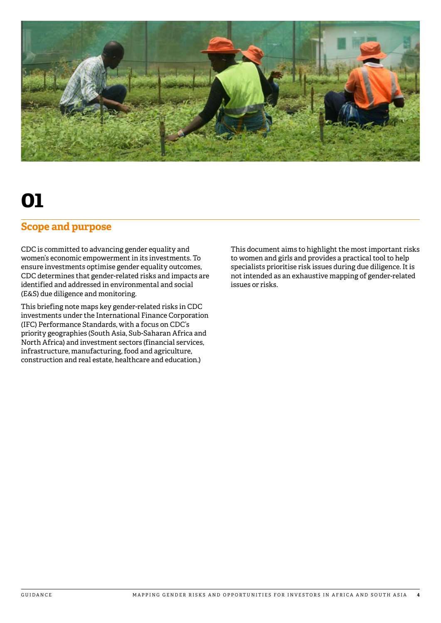<span id="page-3-0"></span>

### **Scope and purpose**

CDC is committed to advancing gender equality and women's economic empowerment in its investments. To ensure investments optimise gender equality outcomes, CDC determines that gender-related risks and impacts are identified and addressed in environmental and social (E&S) due diligence and monitoring.

This briefing note maps key gender-related risks in CDC investments under the International Finance Corporation (IFC) Performance Standards, with a focus on CDC's priority geographies (South Asia, Sub-Saharan Africa and North Africa) and investment sectors (financial services, infrastructure, manufacturing, food and agriculture, construction and real estate, healthcare and education.)

This document aims to highlight the most important risks to women and girls and provides a practical tool to help specialists prioritise risk issues during due diligence. It is not intended as an exhaustive mapping of gender-related issues or risks.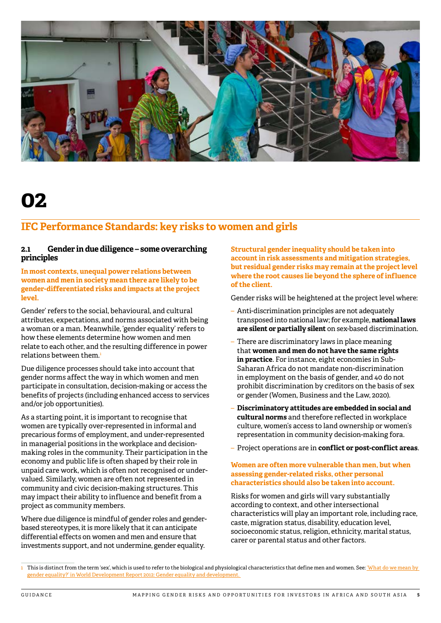<span id="page-4-0"></span>

## **IFC Performance Standards: key risks to women and girls**

#### **2.1 Gender in due diligence – some overarching principles**

**In most contexts, unequal power relations between women and men in society mean there are likely to be gender-differentiated risks and impacts at the project level.**

Gender' refers to the social, behavioural, and cultural attributes, expectations, and norms associated with being a woman or a man. Meanwhile, 'gender equality' refers to how these elements determine how women and men relate to each other, and the resulting difference in power relations between them.1

Due diligence processes should take into account that gender norms affect the way in which women and men participate in consultation, decision-making or access the benefits of projects (including enhanced access to services and/or job opportunities).

As a starting point, it is important to recognise that women are typically over-represented in informal and precarious forms of employment, and under-represented in managerial positions in the workplace and decisionmaking roles in the community. Their participation in the economy and public life is often shaped by their role in unpaid care work, which is often not recognised or undervalued. Similarly, women are often not represented in community and civic decision-making structures. This may impact their ability to influence and benefit from a project as community members.

Where due diligence is mindful of gender roles and genderbased stereotypes, it is more likely that it can anticipate differential effects on women and men and ensure that investments support, and not undermine, gender equality.

**Structural gender inequality should be taken into account in risk assessments and mitigation strategies, but residual gender risks may remain at the project level where the root causes lie beyond the sphere of influence of the client.** 

Gender risks will be heightened at the project level where:

- Anti-discrimination principles are not adequately transposed into national law; for example, **national laws are silent or partially silent** on sex-based discrimination.
- There are discriminatory laws in place meaning that **women and men do not have the same rights in practice**. For instance, eight economies in Sub-Saharan Africa do not mandate non-discrimination in employment on the basis of gender, and 40 do not prohibit discrimination by creditors on the basis of sex or gender (Women, Business and the Law, 2020).
- **Discriminatory attitudes are embedded in social and cultural norms** and therefore reflected in workplace culture, women's access to land ownership or women's representation in community decision-making fora.
- Project operations are in **conflict or post-conflict areas**.

#### **Women are often more vulnerable than men, but when assessing gender-related risks, other personal characteristics should also be taken into account.**

Risks for women and girls will vary substantially according to context, and other intersectional characteristics will play an important role, including race, caste, migration status, disability, education level, socioeconomic status, religion, ethnicity, marital status, carer or parental status and other factors.

<sup>1</sup> This is distinct from the term 'sex', which is used to refer to the biological and physiological characteristics that define men and women. See: 'What do we mean by [gender equality?' in World Development Report 2012: Gender equality and development.](http://documents.worldbank.org/curated/en/492221468136792185/pdf/646650WDR0201200Box364543B00PUBLIC0.pdf)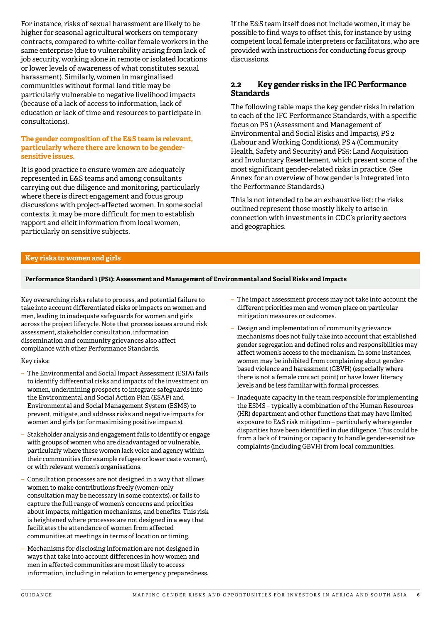<span id="page-5-0"></span>For instance, risks of sexual harassment are likely to be higher for seasonal agricultural workers on temporary contracts, compared to white-collar female workers in the same enterprise (due to vulnerability arising from lack of job security, working alone in remote or isolated locations or lower levels of awareness of what constitutes sexual harassment). Similarly, women in marginalised communities without formal land title may be particularly vulnerable to negative livelihood impacts (because of a lack of access to information, lack of education or lack of time and resources to participate in consultations).

#### **The gender composition of the E&S team is relevant, particularly where there are known to be gendersensitive issues.**

It is good practice to ensure women are adequately represented in E&S teams and among consultants carrying out due diligence and monitoring, particularly where there is direct engagement and focus group discussions with project-affected women. In some social contexts, it may be more difficult for men to establish rapport and elicit information from local women, particularly on sensitive subjects.

If the E&S team itself does not include women, it may be possible to find ways to offset this, for instance by using competent local female interpreters or facilitators, who are provided with instructions for conducting focus group discussions.

#### **2.2 Key gender risks in the IFC Performance Standards**

The following table maps the key gender risks in relation to each of the IFC Performance Standards, with a specific focus on PS 1 (Assessment and Management of Environmental and Social Risks and Impacts), PS 2 (Labour and Working Conditions), PS 4 (Community Health, Safety and Security) and PS5: Land Acquisition and Involuntary Resettlement, which present some of the most significant gender-related risks in practice. (See Annex for an overview of how gender is integrated into the Performance Standards.)

This is not intended to be an exhaustive list: the risks outlined represent those mostly likely to arise in connection with investments in CDC's priority sectors and geographies.

#### **Key risks to women and girls**

#### **Performance Standard 1 (PS1): Assessment and Management of Environmental and Social Risks and Impacts**

Key overarching risks relate to process, and potential failure to take into account differentiated risks or impacts on women and men, leading to inadequate safeguards for women and girls across the project lifecycle. Note that process issues around risk assessment, stakeholder consultation, information dissemination and community grievances also affect compliance with other Performance Standards.

#### Key risks:

- The Environmental and Social Impact Assessment (ESIA) fails to identify differential risks and impacts of the investment on women, undermining prospects to integrate safeguards into the Environmental and Social Action Plan (ESAP) and Environmental and Social Management System (ESMS) to prevent, mitigate, and address risks and negative impacts for women and girls (or for maximising positive impacts).
- Stakeholder analysis and engagement fails to identify or engage with groups of women who are disadvantaged or vulnerable, particularly where these women lack voice and agency within their communities (for example refugee or lower caste women), or with relevant women's organisations.
- Consultation processes are not designed in a way that allows women to make contributions freely (women-only consultation may be necessary in some contexts), or fails to capture the full range of women's concerns and priorities about impacts, mitigation mechanisms, and benefits. This risk is heightened where processes are not designed in a way that facilitates the attendance of women from affected communities at meetings in terms of location or timing.
- Mechanisms for disclosing information are not designed in ways that take into account differences in how women and men in affected communities are most likely to access information, including in relation to emergency preparedness.
- The impact assessment process may not take into account the different priorities men and women place on particular mitigation measures or outcomes.
- Design and implementation of community grievance mechanisms does not fully take into account that established gender segregation and defined roles and responsibilities may affect women's access to the mechanism. In some instances, women may be inhibited from complaining about genderbased violence and harassment (GBVH) (especially where there is not a female contact point) or have lower literacy levels and be less familiar with formal processes.
- Inadequate capacity in the team responsible for implementing the ESMS – typically a combination of the Human Resources (HR) department and other functions that may have limited exposure to E&S risk mitigation – particularly where gender disparities have been identified in due diligence. This could be from a lack of training or capacity to handle gender-sensitive complaints (including GBVH) from local communities.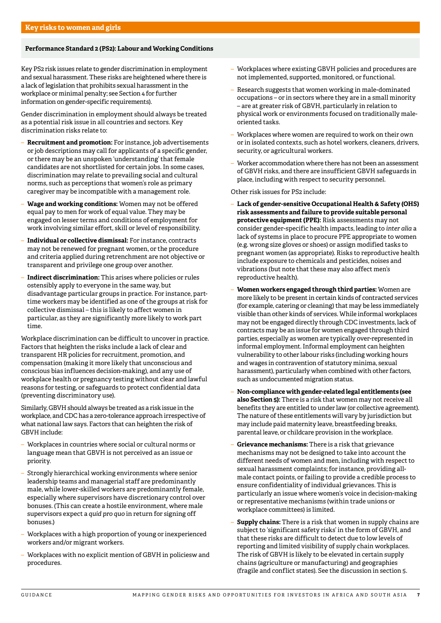#### **Performance Standard 2 (PS2): Labour and Working Conditions**

Key PS2 risk issues relate to gender discrimination in employment and sexual harassment. These risks are heightened where there is a lack of legislation that prohibits sexual harassment in the workplace or minimal penalty; see Section 4 for further information on gender-specific requirements).

Gender discrimination in employment should always be treated as a potential risk issue in all countries and sectors. Key discrimination risks relate to:

- **Recruitment and promotion:** For instance, job advertisements or job descriptions may call for applicants of a specific gender, or there may be an unspoken 'understanding' that female candidates are not shortlisted for certain jobs. In some cases, discrimination may relate to prevailing social and cultural norms, such as perceptions that women's role as primary caregiver may be incompatible with a management role.
- **Wage and working conditions:** Women may not be offered equal pay to men for work of equal value. They may be engaged on lesser terms and conditions of employment for work involving similar effort, skill or level of responsibility.
- **Individual or collective dismissal:** For instance, contracts may not be renewed for pregnant women, or the procedure and criteria applied during retrenchment are not objective or transparent and privilege one group over another.
- **Indirect discrimination:** This arises where policies or rules ostensibly apply to everyone in the same way, but disadvantage particular groups in practice. For instance, parttime workers may be identified as one of the groups at risk for collective dismissal – this is likely to affect women in particular, as they are significantly more likely to work part time.

Workplace discrimination can be difficult to uncover in practice. Factors that heighten the risks include a lack of clear and transparent HR policies for recruitment, promotion, and compensation (making it more likely that unconscious and conscious bias influences decision-making), and any use of workplace health or pregnancy testing without clear and lawful reasons for testing, or safeguards to protect confidential data (preventing discriminatory use).

Similarly, GBVH should always be treated as a risk issue in the workplace, and CDC has a zero-tolerance approach irrespective of what national law says. Factors that can heighten the risk of GBVH include:

- Workplaces in countries where social or cultural norms or language mean that GBVH is not perceived as an issue or priority.
- Strongly hierarchical working environments where senior leadership teams and managerial staff are predominantly male, while lower-skilled workers are predominantly female, especially where supervisors have discretionary control over bonuses. (This can create a hostile environment, where male supervisors expect a *quid pro quo* in return for signing off bonuses.)
- Workplaces with a high proportion of young or inexperienced workers and/or migrant workers.
- Workplaces with no explicit mention of GBVH in policiesw and procedures.
- Workplaces where existing GBVH policies and procedures are not implemented, supported, monitored, or functional.
- Research suggests that women working in male-dominated occupations – or in sectors where they are in a small minority – are at greater risk of GBVH, particularly in relation to physical work or environments focused on traditionally maleoriented tasks.
- Workplaces where women are required to work on their own or in isolated contexts, such as hotel workers, cleaners, drivers, security, or agricultural workers.
- Worker accommodation where there has not been an assessment of GBVH risks, and there are insufficient GBVH safeguards in place, including with respect to security personnel.

Other risk issues for PS2 include:

- **Lack of gender-sensitive Occupational Health & Safety (OHS) risk assessments and failure to provide suitable personal protective equipment (PPE):** Risk assessments may not consider gender-specific health impacts, leading to *inter alia* a lack of systems in place to procure PPE appropriate to women (e.g. wrong size gloves or shoes) or assign modified tasks to pregnant women (as appropriate). Risks to reproductive health include exposure to chemicals and pesticides, noises and vibrations (but note that these may also affect men's reproductive health).
- **Women workers engaged through third parties:** Women are more likely to be present in certain kinds of contracted services (for example, catering or cleaning) that may be less immediately visible than other kinds of services. While informal workplaces may not be engaged directly through CDC investments, lack of contracts may be an issue for women engaged through third parties, especially as women are typically over-represented in informal employment. Informal employment can heighten vulnerability to other labour risks (including working hours and wages in contravention of statutory minima, sexual harassment), particularly when combined with other factors, such as undocumented migration status.
- **Non-compliance with gender-related legal entitlements (see also Section 5):** There is a risk that women may not receive all benefits they are entitled to under law (or collective agreement). The nature of these entitlements will vary by jurisdiction but may include paid maternity leave, breastfeeding breaks, parental leave, or childcare provision in the workplace.
- **Grievance mechanisms:** There is a risk that grievance mechanisms may not be designed to take into account the different needs of women and men, including with respect to sexual harassment complaints; for instance, providing allmale contact points, or failing to provide a credible process to ensure confidentiality of individual grievances. This is particularly an issue where women's voice in decision-making or representative mechanisms (within trade unions or workplace committees) is limited.
- **Supply chains:** There is a risk that women in supply chains are subject to 'significant safety risks' in the form of GBVH, and that these risks are difficult to detect due to low levels of reporting and limited visibility of supply chain workplaces. The risk of GBVH is likely to be elevated in certain supply chains (agriculture or manufacturing) and geographies (fragile and conflict states). See the discussion in section 5.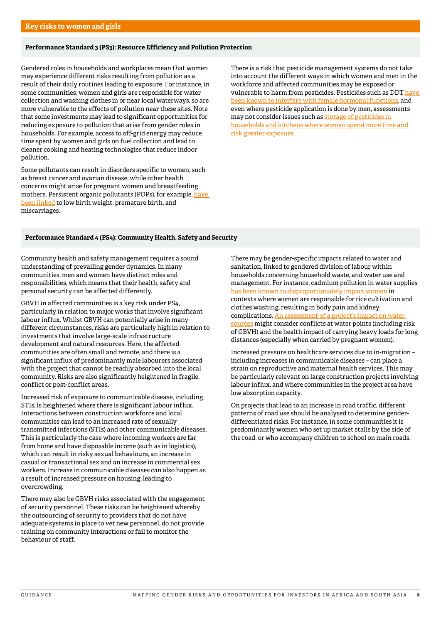#### **Performance Standard 3 (PS3): Resource Efficiency and Pollution Protection**

Gendered roles in households and workplaces mean that women may experience different risks resulting from pollution as a result of their daily routines leading to exposure. For instance, in some communities, women and girls are responsible for water collection and washing clothes in or near local waterways, so are more vulnerable to the effects of pollution near these sites. Note that some investments may lead to significant opportunities for reducing exposure to pollution that arise from gender roles in households. For example, access to off-grid energy may reduce time spent by women and girls on fuel collection and lead to cleaner cooking and heating technologies that reduce indoor pollution.

Some pollutants can result in disorders specific to women, such as breast cancer and ovarian disease, while other health concerns might arise for pregnant women and breastfeeding mothers. Persistent organic pollutants (POPs), for example, [have](https://www.undp.org/content/undp/en/home/librarypage/environment-energy/chemicals_management/chemicals-and-gender.html)  [been linked](https://www.undp.org/content/undp/en/home/librarypage/environment-energy/chemicals_management/chemicals-and-gender.html) to low birth weight, premature birth, and miscarriages.

There is a risk that pesticide management systems do not take into account the different ways in which women and men in the workforce and affected communities may be exposed or vulnerable to harm from pesticides. Pesticides such as DDT have been known to interfere with female hormonal functions, and even where pesticide application is done by men, assessments may not consider issues such as storage of pesticides in households and kitchens where women spend more time and risk greater exposure.

#### **Performance Standard 4 (PS4): Community Health, Safety and Security**

Community health and safety management requires a sound understanding of prevailing gender dynamics. In many communities, men and women have distinct roles and responsibilities, which means that their health, safety and personal security can be affected differently.

GBVH in affected communities is a key risk under PS4, particularly in relation to major works that involve significant labour influx. Whilst GBVH can potentially arise in many different circumstances, risks are particularly high in relation to investments that involve large-scale infrastructure development and natural resources. Here, the affected communities are often small and remote, and there is a significant influx of predominantly male labourers associated with the project that cannot be readily absorbed into the local community. Risks are also significantly heightened in fragile, conflict or post-conflict areas.

Increased risk of exposure to communicable disease, including STIs, is heightened where there is significant labour influx. Interactions between construction workforce and local communities can lead to an increased rate of sexually transmitted infections (STIs) and other communicable diseases. This is particularly the case where incoming workers are far from home and have disposable income (such as in logistics), which can result in risky sexual behaviours, an increase in casual or transactional sex and an increase in commercial sex workers. Increase in communicable diseases can also happen as a result of increased pressure on housing, leading to overcrowding.

There may also be GBVH risks associated with the engagement of security personnel. These risks can be heightened whereby the outsourcing of security to providers that do not have adequate systems in place to vet new personnel, do not provide training on community interactions or fail to monitor the behaviour of staff.

There may be gender-specific impacts related to water and sanitation, linked to gendered division of labour within households concerning household waste, and water use and management. For instance, cadmium pollution in water supplies [has been known to disproportionately impact women](https://www.undp.org/content/undp/en/home/librarypage/environment-energy/chemicals_management/chemicals-and-gender.html) in contexts where women are responsible for rice cultivation and clothes washing, resulting in body pain and kidney complications. [An assessment of a project's impact on water](https://theconversation.com/women-still-carry-most-of-the-worlds-water-81054)  [sources](https://theconversation.com/women-still-carry-most-of-the-worlds-water-81054) might consider conflicts at water points (including risk of GBVH) and the health impact of carrying heavy loads for long distances (especially when carried by pregnant women).

Increased pressure on healthcare services due to in-migration – including increases in communicable diseases – can place a strain on reproductive and maternal health services. This may be particularly relevant on large construction projects involving labour influx, and where communities in the project area have low absorption capacity.

On projects that lead to an increase in road traffic, different patterns of road use should be analysed to determine genderdifferentiated risks. For instance, in some communities it is predominantly women who set up market stalls by the side of the road, or who accompany children to school on main roads.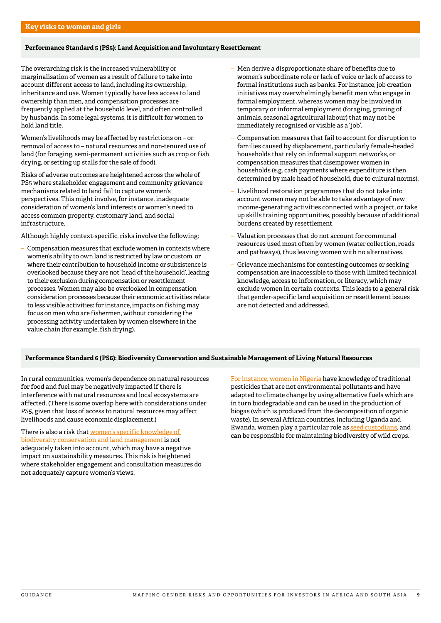#### **Performance Standard 5 (PS5): Land Acquisition and Involuntary Resettlement**

The overarching risk is the increased vulnerability or marginalisation of women as a result of failure to take into account different access to land, including its ownership, inheritance and use. Women typically have less access to land ownership than men, and compensation processes are frequently applied at the household level, and often controlled by husbands. In some legal systems, it is difficult for women to hold land title.

Women's livelihoods may be affected by restrictions on – or removal of access to – natural resources and non-tenured use of land (for foraging, semi-permanent activities such as crop or fish drying, or setting up stalls for the sale of food).

Risks of adverse outcomes are heightened across the whole of PS5 where stakeholder engagement and community grievance mechanisms related to land fail to capture women's perspectives. This might involve, for instance, inadequate consideration of women's land interests or women's need to access common property, customary land, and social infrastructure.

Although highly context-specific, risks involve the following:

– Compensation measures that exclude women in contexts where women's ability to own land is restricted by law or custom, or where their contribution to household income or subsistence is overlooked because they are not 'head of the household', leading to their exclusion during compensation or resettlement processes. Women may also be overlooked in compensation consideration processes because their economic activities relate to less visible activities: for instance, impacts on fishing may focus on men who are fishermen, without considering the processing activity undertaken by women elsewhere in the value chain (for example, fish drying).

- Men derive a disproportionate share of benefits due to women's subordinate role or lack of voice or lack of access to formal institutions such as banks. For instance, job creation initiatives may overwhelmingly benefit men who engage in formal employment, whereas women may be involved in temporary or informal employment (foraging, grazing of animals, seasonal agricultural labour) that may not be immediately recognised or visible as a 'job'.
- Compensation measures that fail to account for disruption to families caused by displacement, particularly female-headed households that rely on informal support networks, or compensation measures that disempower women in households (e.g. cash payments where expenditure is then determined by male head of household, due to cultural norms).
- Livelihood restoration programmes that do not take into account women may not be able to take advantage of new income-generating activities connected with a project, or take up skills training opportunities, possibly because of additional burdens created by resettlement.
- Valuation processes that do not account for communal resources used most often by women (water collection, roads and pathways), thus leaving women with no alternatives.
- Grievance mechanisms for contesting outcomes or seeking compensation are inaccessible to those with limited technical knowledge, access to information, or literacy, which may exclude women in certain contexts. This leads to a general risk that gender-specific land acquisition or resettlement issues are not detected and addressed.

#### **Performance Standard 6 (PS6): Biodiversity Conservation and Sustainable Management of Living Natural Resources**

In rural communities, women's dependence on natural resources for food and fuel may be negatively impacted if there is interference with natural resources and local ecosystems are affected. (There is some overlap here with considerations under PS5, given that loss of access to natural resources may affect livelihoods and cause economic displacement.)

There is also a risk that [women's specific knowledge of](https://www.cbd.int/gender/biodiversity/default.shtml)  [biodiversity conservation and land management](https://www.cbd.int/gender/biodiversity/default.shtml) is not adequately taken into account, which may have a negative impact on sustainability measures. This risk is heightened where stakeholder engagement and consultation measures do not adequately capture women's views.

[For instance, women in Nigeria](https://ir.lib.uwo.ca/cgi/viewcontent.cgi?article=1386&context=iipj) have knowledge of traditional pesticides that are not environmental pollutants and have adapted to climate change by using alternative fuels which are in turn biodegradable and can be used in the production of biogas (which is produced from the decomposition of organic waste). In several African countries, including Uganda and Rwanda, women play a particular role as [seed custodians](https://www.gaiafoundation.org/wp-content/uploads/2015/11/Celebrating-African-Rural-Women.pdf), and can be responsible for maintaining biodiversity of wild crops.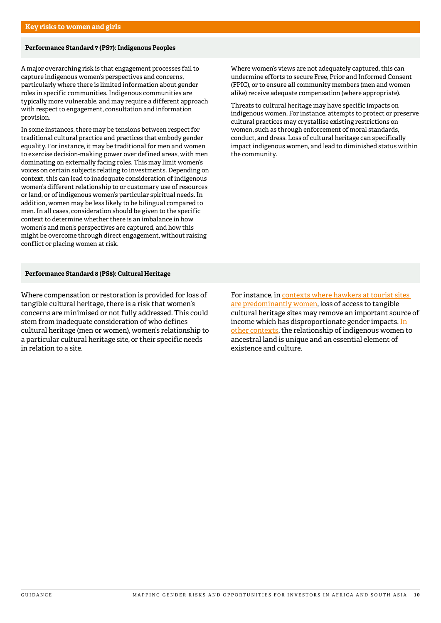#### **Performance Standard 7 (PS7): Indigenous Peoples**

A major overarching risk is that engagement processes fail to capture indigenous women's perspectives and concerns, particularly where there is limited information about gender roles in specific communities. Indigenous communities are typically more vulnerable, and may require a different approach with respect to engagement, consultation and information provision.

In some instances, there may be tensions between respect for traditional cultural practice and practices that embody gender equality. For instance, it may be traditional for men and women to exercise decision-making power over defined areas, with men dominating on externally facing roles. This may limit women's voices on certain subjects relating to investments. Depending on context, this can lead to inadequate consideration of indigenous women's different relationship to or customary use of resources or land, or of indigenous women's particular spiritual needs. In addition, women may be less likely to be bilingual compared to men. In all cases, consideration should be given to the specific context to determine whether there is an imbalance in how women's and men's perspectives are captured, and how this might be overcome through direct engagement, without raising conflict or placing women at risk.

#### **Performance Standard 8 (PS8): Cultural Heritage**

Where compensation or restoration is provided for loss of tangible cultural heritage, there is a risk that women's concerns are minimised or not fully addressed. This could stem from inadequate consideration of who defines cultural heritage (men or women), women's relationship to a particular cultural heritage site, or their specific needs in relation to a site.

Where women's views are not adequately captured, this can undermine efforts to secure Free, Prior and Informed Consent (FPIC), or to ensure all community members (men and women alike) receive adequate compensation (where appropriate).

Threats to cultural heritage may have specific impacts on indigenous women. For instance, attempts to protect or preserve cultural practices may crystallise existing restrictions on women, such as through enforcement of moral standards, conduct, and dress. Loss of cultural heritage can specifically impact indigenous women, and lead to diminished status within the community.

For instance, in [contexts where hawkers at tourist sites](https://www.academia.edu/5497970/Quo_vadis_Delhi_Urban_heritage_and_gender_towards_a_sustainable_urban_future)  [are predominantly women,](https://www.academia.edu/5497970/Quo_vadis_Delhi_Urban_heritage_and_gender_towards_a_sustainable_urban_future) loss of access to tangible cultural heritage sites may remove an important source of income which has disproportionate gender impacts. [In](http://www.cidh.org/countryrep/ColombiaMujeres06eng/IV.htm#Indigenous)  [other contexts](http://www.cidh.org/countryrep/ColombiaMujeres06eng/IV.htm#Indigenous), the relationship of indigenous women to ancestral land is unique and an essential element of existence and culture.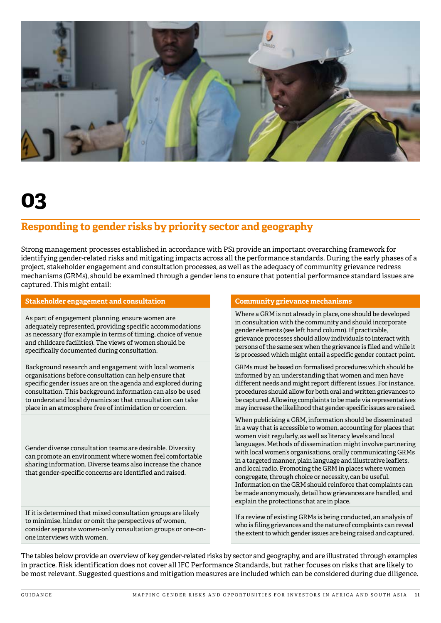<span id="page-10-0"></span>

## **Responding to gender risks by priority sector and geography**

Strong management processes established in accordance with PS1 provide an important overarching framework for identifying gender-related risks and mitigating impacts across all the performance standards. During the early phases of a project, stakeholder engagement and consultation processes, as well as the adequacy of community grievance redress mechanisms (GRMs), should be examined through a gender lens to ensure that potential performance standard issues are captured. This might entail:

#### **Stakeholder engagement and consultation Community grievance mechanisms**

As part of engagement planning, ensure women are adequately represented, providing specific accommodations as necessary (for example in terms of timing, choice of venue and childcare facilities). The views of women should be specifically documented during consultation.

Background research and engagement with local women's organisations before consultation can help ensure that specific gender issues are on the agenda and explored during consultation. This background information can also be used to understand local dynamics so that consultation can take place in an atmosphere free of intimidation or coercion.

Gender diverse consultation teams are desirable. Diversity can promote an environment where women feel comfortable sharing information. Diverse teams also increase the chance that gender-specific concerns are identified and raised.

If it is determined that mixed consultation groups are likely to minimise, hinder or omit the perspectives of women, consider separate women-only consultation groups or one-onone interviews with women.

Where a GRM is not already in place, one should be developed in consultation with the community and should incorporate gender elements (see left hand column). If practicable, grievance processes should allow individuals to interact with persons of the same sex when the grievance is filed and while it is processed which might entail a specific gender contact point.

GRMs must be based on formalised procedures which should be informed by an understanding that women and men have different needs and might report different issues. For instance, procedures should allow for both oral and written grievances to be captured. Allowing complaints to be made via representatives may increase the likelihood that gender-specific issues are raised.

When publicising a GRM, information should be disseminated in a way that is accessible to women, accounting for places that women visit regularly, as well as literacy levels and local languages. Methods of dissemination might involve partnering with local women's organisations, orally communicating GRMs in a targeted manner, plain language and illustrative leaflets, and local radio. Promoting the GRM in places where women congregate, through choice or necessity, can be useful. Information on the GRM should reinforce that complaints can be made anonymously, detail how grievances are handled, and explain the protections that are in place.

If a review of existing GRMs is being conducted, an analysis of who is filing grievances and the nature of complaints can reveal the extent to which gender issues are being raised and captured.

The tables below provide an overview of key gender-related risks by sector and geography, and are illustrated through examples in practice. Risk identification does not cover all IFC Performance Standards, but rather focuses on risks that are likely to be most relevant. Suggested questions and mitigation measures are included which can be considered during due diligence.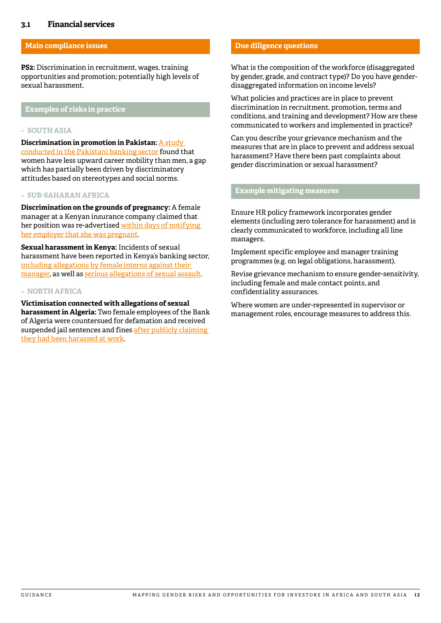#### <span id="page-11-0"></span>**3.1 Financial services**

#### **Main compliance issues**

**PS2:** Discrimination in recruitment, wages, training opportunities and promotion; potentially high levels of sexual harassment.

#### **Examples of risks in practice**

#### – **SOUTH ASIA**

**Discrimination in promotion in Pakistan:** [A study](http://journals.iobmresearch.com/index.php/PBR/article/view/834)  [conducted in the Pakistani banking sector](http://journals.iobmresearch.com/index.php/PBR/article/view/834) found that women have less upward career mobility than men, a gap which has partially been driven by discriminatory attitudes based on stereotypes and social norms.

#### – **SUB-SAHARAN AFRICA**

**Discrimination on the grounds of pregnancy:** A female manager at a Kenyan insurance company claimed that her position was re-advertised within days of notifying [her employer that she was pregnant](https://www.the-star.co.ke/news/2018-08-21-jubilee-insurance-on-the-spot-for-firing-woman-over-pregnancy/).

**Sexual harassment in Kenya:** Incidents of sexual harassment have been reported in Kenya's banking sector, [including allegations by female interns against their](https://www.the-star.co.ke/news/2018/11/07/bank-manager-dismissed-on-sexual-harassment-claims_c1846489)  [manager](https://www.the-star.co.ke/news/2018/11/07/bank-manager-dismissed-on-sexual-harassment-claims_c1846489), as well as [serious allegations of sexual assault](https://www.standardmedia.co.ke/article/2001275070/top-banker-responds-to-sexual-harassment-allegations).

#### – **NORTH AFRICA**

**Victimisation connected with allegations of sexual harassment in Algeria:** Two female employees of the Bank of Algeria were countersued for defamation and received suspended jail sentences and fines after publicly claiming [they had been harassed at work.](https://freedomhouse.org/sites/default/files/inline_images/Algeria.pdf)

#### **Due diligence questions**

What is the composition of the workforce (disaggregated by gender, grade, and contract type)? Do you have genderdisaggregated information on income levels?

What policies and practices are in place to prevent discrimination in recruitment, promotion, terms and conditions, and training and development? How are these communicated to workers and implemented in practice?

Can you describe your grievance mechanism and the measures that are in place to prevent and address sexual harassment? Have there been past complaints about gender discrimination or sexual harassment?

#### **Example mitigating measures**

Ensure HR policy framework incorporates gender elements (including zero tolerance for harassment) and is clearly communicated to workforce, including all line managers.

Implement specific employee and manager training programmes (e.g. on legal obligations, harassment).

Revise grievance mechanism to ensure gender-sensitivity, including female and male contact points, and confidentiality assurances.

Where women are under-represented in supervisor or management roles, encourage measures to address this.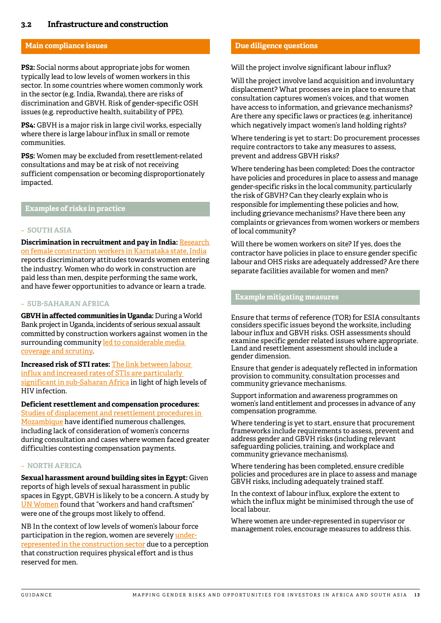#### <span id="page-12-0"></span>**Main compliance issues**

**PS2:** Social norms about appropriate jobs for women typically lead to low levels of women workers in this sector. In some countries where women commonly work in the sector (e.g. India, Rwanda), there are risks of discrimination and GBVH. Risk of gender-specific OSH issues (e.g. reproductive health, suitability of PPE).

**PS4:** GBVH is a major risk in large civil works, especially where there is large labour influx in small or remote communities.

**PS5:** Women may be excluded from resettlement-related consultations and may be at risk of not receiving sufficient compensation or becoming disproportionately impacted.

**Examples of risks in practice**

#### – **SOUTH ASIA**

**Discrimination in recruitment and pay in India:** [Research](https://blogs.lse.ac.uk/southasia/2018/03/08/how-can-a-woman-do-these-things-female-construction-workers-and-pathways-of-mobility/)  [on female construction workers in Karnataka state, India](https://blogs.lse.ac.uk/southasia/2018/03/08/how-can-a-woman-do-these-things-female-construction-workers-and-pathways-of-mobility/) reports discriminatory attitudes towards women entering the industry. Women who do work in construction are paid less than men, despite performing the same work, and have fewer opportunities to advance or learn a trade.

#### – **SUB-SAHARAN AFRICA**

**GBVH in affected communities in Uganda:** During a World Bank project in Uganda, incidents of serious sexual assault committed by construction workers against women in the surrounding community led to considerable media [coverage and scrutiny.](https://www.theguardian.com/global-development/2016/jan/12/world-bank-cancels-uganda-road-sexual-assault-claims)

**Increased risk of STI rates:** [The link between labour](https://www.sciencedirect.com/science/article/pii/S2214139116300270)  [influx and increased rates of STIs are particularly](https://www.sciencedirect.com/science/article/pii/S2214139116300270)  [significant in sub-Saharan Africa](https://www.sciencedirect.com/science/article/pii/S2214139116300270) in light of high levels of HIV infection.

**Deficient resettlement and compensation procedures:** [Studies of displacement and resettlement procedures in](https://www.oicrf.org/-/ensuring-gender-equity-in-compensation-and-resettlement-schemes-related-to-commercial-land-investments-in-tanzania-and-mozambiq-1)  [Mozambique](https://www.oicrf.org/-/ensuring-gender-equity-in-compensation-and-resettlement-schemes-related-to-commercial-land-investments-in-tanzania-and-mozambiq-1) have identified numerous challenges, including lack of consideration of women's concerns during consultation and cases where women faced greater difficulties contesting compensation payments.

#### – **NORTH AFRICA**

**Sexual harassment around building sites in Egypt:** Given reports of high levels of sexual harassment in public spaces in Egypt, GBVH is likely to be a concern. A study by [UN Women](https://web.law.columbia.edu/sites/default/files/microsites/gender-sexuality/un_womensexual-harassment-study-egypt-final-en.pdf) found that "workers and hand craftsmen" were one of the groups most likely to offend.

NB In the context of low levels of women's labour force participation in the region, women are severely [under](https://books.google.co.uk/books?id=40VvDwAAQBAJ&printsec=frontcover#v=onepage&q=construction&f=false)[represented in the construction sector](https://books.google.co.uk/books?id=40VvDwAAQBAJ&printsec=frontcover#v=onepage&q=construction&f=false) due to a perception that construction requires physical effort and is thus reserved for men.

#### **Due diligence questions**

Will the project involve significant labour influx?

Will the project involve land acquisition and involuntary displacement? What processes are in place to ensure that consultation captures women's voices, and that women have access to information, and grievance mechanisms? Are there any specific laws or practices (e.g. inheritance) which negatively impact women's land holding rights?

Where tendering is yet to start: Do procurement processes require contractors to take any measures to assess, prevent and address GBVH risks?

Where tendering has been completed: Does the contractor have policies and procedures in place to assess and manage gender-specific risks in the local community, particularly the risk of GBVH? Can they clearly explain who is responsible for implementing these policies and how, including grievance mechanisms? Have there been any complaints or grievances from women workers or members of local community?

Will there be women workers on site? If yes, does the contractor have policies in place to ensure gender specific labour and OHS risks are adequately addressed? Are there separate facilities available for women and men?

#### **Example mitigating measures**

Ensure that terms of reference (TOR) for ESIA consultants considers specific issues beyond the worksite, including labour influx and GBVH risks. OSH assessments should examine specific gender related issues where appropriate. Land and resettlement assessment should include a gender dimension.

Ensure that gender is adequately reflected in information provision to community, consultation processes and community grievance mechanisms.

Support information and awareness programmes on women's land entitlement and processes in advance of any compensation programme.

Where tendering is yet to start, ensure that procurement frameworks include requirements to assess, prevent and address gender and GBVH risks (including relevant safeguarding policies, training, and workplace and community grievance mechanisms).

Where tendering has been completed, ensure credible policies and procedures are in place to assess and manage GBVH risks, including adequately trained staff.

In the context of labour influx, explore the extent to which the influx might be minimised through the use of local labour.

Where women are under-represented in supervisor or management roles, encourage measures to address this.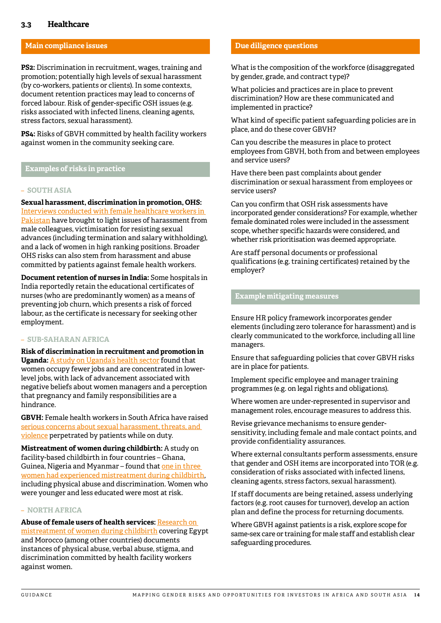#### <span id="page-13-0"></span>**Main compliance issues**

**PS2:** Discrimination in recruitment, wages, training and promotion; potentially high levels of sexual harassment (by co-workers, patients or clients). In some contexts, document retention practices may lead to concerns of forced labour. Risk of gender-specific OSH issues (e.g. risks associated with infected linens, cleaning agents, stress factors, sexual harassment).

**PS4:** Risks of GBVH committed by health facility workers against women in the community seeking care.

#### **Examples of risks in practice**

#### – **SOUTH ASIA**

**Sexual harassment, discrimination in promotion, OHS:** [Interviews conducted with female healthcare workers in](http://www.world-psi.org/sites/default/files/documents/research/en_gbvworkplacereport2018_final.pdf)  [Pakistan](http://www.world-psi.org/sites/default/files/documents/research/en_gbvworkplacereport2018_final.pdf) have brought to light issues of harassment from male colleagues, victimisation for resisting sexual advances (including termination and salary withholding), and a lack of women in high ranking positions. Broader OHS risks can also stem from harassment and abuse committed by patients against female health workers.

**Document retention of nurses in India:** Some hospitals in India reportedly retain the educational certificates of nurses (who are predominantly women) as a means of preventing job churn, which presents a risk of forced labour, as the certificate is necessary for seeking other employment.

#### – **SUB-SAHARAN AFRICA**

**Risk of discrimination in recruitment and promotion in Uganda:** [A study on Uganda's health sector](https://www.intrahealth.org/sites/ihweb/files/attachment-files/GDIA-Report.pdf) found that women occupy fewer jobs and are concentrated in lowerlevel jobs, with lack of advancement associated with negative beliefs about women managers and a perception that pregnancy and family responsibilities are a hindrance.

**GBVH:** Female health workers in South Africa have raised [serious concerns about sexual harassment, threats, and](https://www.timeslive.co.za/news/south-africa/2018-08-03-men-threaten-us-with-guns-rape-female-medic-and-doctor-speak-up/)  [violence](https://www.timeslive.co.za/news/south-africa/2018-08-03-men-threaten-us-with-guns-rape-female-medic-and-doctor-speak-up/) perpetrated by patients while on duty.

**Mistreatment of women during childbirth:** A study on facility-based childbirth in four countries – Ghana, Guinea, Nigeria and Myanmar – found that [one in three](https://www.thelancet.com/journals/lancet/article/PIIS0140-6736(19)31992-0/fulltext)  [women had experienced mistreatment during childbirth](https://www.thelancet.com/journals/lancet/article/PIIS0140-6736(19)31992-0/fulltext), including physical abuse and discrimination. Women who were younger and less educated were most at risk.

#### – **NORTH AFRICA**

**Abuse of female users of health services:** [Research on](https://journals.plos.org/plosmedicine/article?id=10.1371/journal.pmed.1001847#pmed.1001847.s006)  [mistreatment of women during childbirth](https://journals.plos.org/plosmedicine/article?id=10.1371/journal.pmed.1001847#pmed.1001847.s006) covering Egypt and Morocco (among other countries) documents instances of physical abuse, verbal abuse, stigma, and discrimination committed by health facility workers against women.

#### **Due diligence questions**

What is the composition of the workforce (disaggregated by gender, grade, and contract type)?

What policies and practices are in place to prevent discrimination? How are these communicated and implemented in practice?

What kind of specific patient safeguarding policies are in place, and do these cover GBVH?

Can you describe the measures in place to protect employees from GBVH, both from and between employees and service users?

Have there been past complaints about gender discrimination or sexual harassment from employees or service users?

Can you confirm that OSH risk assessments have incorporated gender considerations? For example, whether female dominated roles were included in the assessment scope, whether specific hazards were considered, and whether risk prioritisation was deemed appropriate.

Are staff personal documents or professional qualifications (e.g. training certificates) retained by the employer?

#### **Example mitigating measures**

Ensure HR policy framework incorporates gender elements (including zero tolerance for harassment) and is clearly communicated to the workforce, including all line managers.

Ensure that safeguarding policies that cover GBVH risks are in place for patients.

Implement specific employee and manager training programmes (e.g. on legal rights and obligations).

Where women are under-represented in supervisor and management roles, encourage measures to address this.

Revise grievance mechanisms to ensure gendersensitivity, including female and male contact points, and provide confidentiality assurances.

Where external consultants perform assessments, ensure that gender and OSH items are incorporated into TOR (e.g. consideration of risks associated with infected linens, cleaning agents, stress factors, sexual harassment).

If staff documents are being retained, assess underlying factors (e.g. root causes for turnover), develop an action plan and define the process for returning documents.

Where GBVH against patients is a risk, explore scope for same-sex care or training for male staff and establish clear safeguarding procedures.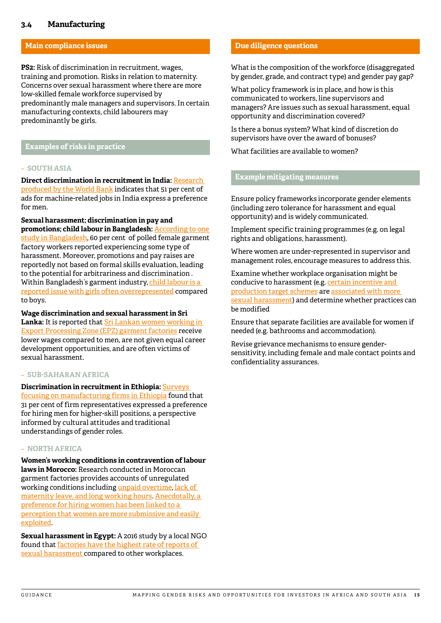#### <span id="page-14-0"></span>**3.4 Manufacturing**

#### **Main compliance issues**

**PS2:** Risk of discrimination in recruitment, wages, training and promotion. Risks in relation to maternity. Concerns over sexual harassment where there are more low-skilled female workforce supervised by predominantly male managers and supervisors. In certain manufacturing contexts, child labourers may predominantly be girls.

#### **Examples of risks in practice**

#### – **SOUTH ASIA**

**Direct discrimination in recruitment in India:** [Research](http://documents.worldbank.org/curated/en/548581522089881652/pdf/WPS8379.pdf)  [produced by the World Bank](http://documents.worldbank.org/curated/en/548581522089881652/pdf/WPS8379.pdf) indicates that 51 per cent of ads for machine-related jobs in India express a preference for men.

**Sexual harassment; discrimination in pay and promotions; child labour in Bangladesh:** [According to one](https://www.fairwear.org/wp-content/uploads/2016/06/BangladeshCountryStudy2016.pdf)  [study in Bangladesh,](https://www.fairwear.org/wp-content/uploads/2016/06/BangladeshCountryStudy2016.pdf) 60 per cent of polled female garment factory workers reported experiencing some type of harassment. Moreover, promotions and pay raises are reportedly not based on formal skills evaluation, leading to the potential for arbitrariness and discrimination . Within Bangladesh's garment industry, [child labour is a](https://www.npr.org/sections/goatsandsoda/2016/12/07/504681046/study-child-laborers-in-bangladesh-are-working-64-hours-a-week)  [reported issue with girls often overrepresented](https://www.npr.org/sections/goatsandsoda/2016/12/07/504681046/study-child-laborers-in-bangladesh-are-working-64-hours-a-week) compared to boys.

**Wage discrimination and sexual harassment in Sri Lanka:** It is reported that [Sri Lankan women working in](https://www.ilo.org/wcmsp5/groups/public/---ed_emp/documents/publication/wcms_212721.pdf)  [Export Processing Zone \(EPZ\) garment factories](https://www.ilo.org/wcmsp5/groups/public/---ed_emp/documents/publication/wcms_212721.pdf) receive lower wages compared to men, are not given equal career development opportunities, and are often victims of sexual harassment.

#### – **SUB-SAHARAN AFRICA**

**Discrimination in recruitment in Ethiopia:** [Surveys](http://www.et.undp.org/content/dam/ethiopia/docs/2018/A Study on Women in Manufacturing in Ethiopia.pdf)  [focusing on manufacturing firms in Ethiopia](http://www.et.undp.org/content/dam/ethiopia/docs/2018/A Study on Women in Manufacturing in Ethiopia.pdf) found that 31 per cent of firm representatives expressed a preference for hiring men for higher-skill positions, a perspective informed by cultural attitudes and traditional understandings of gender roles.

#### – **NORTH AFRICA**

**Women's working conditions in contravention of labour laws in Morocco:** Research conducted in Moroccan garment factories provides accounts of unregulated working conditions including [unpaid overtime](https://www.researchgate.net/publication/274983960_Girls_of_the_Factory_A_Year_with_the_Garment_Workers_of_Morocco), [lack of](https://core.ac.uk/download/pdf/48828241.pdf)  [maternity leave, and long working hours](https://core.ac.uk/download/pdf/48828241.pdf). [Anecdotally, a](https://muse.jhu.edu/article/481986/pdf)  [preference for hiring women has been linked to a](https://muse.jhu.edu/article/481986/pdf)  [perception that women are more submissive and easily](https://muse.jhu.edu/article/481986/pdf)  [exploited](https://muse.jhu.edu/article/481986/pdf).

**Sexual harassment in Egypt:** A 2016 study by a local NGO found that [factories have the highest rate of reports of](http://nwrcegypt.org/en/wp-content/uploads/2016/06/Observatory-of-the-Economic-and-Social-Rights-of-Women-at-Work-15x21-EN.pdf)  [sexual harassment](http://nwrcegypt.org/en/wp-content/uploads/2016/06/Observatory-of-the-Economic-and-Social-Rights-of-Women-at-Work-15x21-EN.pdf) compared to other workplaces.

#### **Due diligence questions**

What is the composition of the workforce (disaggregated by gender, grade, and contract type) and gender pay gap?

What policy framework is in place, and how is this communicated to workers, line supervisors and managers? Are issues such as sexual harassment, equal opportunity and discrimination covered?

Is there a bonus system? What kind of discretion do supervisors have over the award of bonuses?

What facilities are available to women?

#### **Example mitigating measures**

Ensure policy frameworks incorporate gender elements (including zero tolerance for harassment and equal opportunity) and is widely communicated.

Implement specific training programmes (e.g. on legal rights and obligations, harassment).

Where women are under-represented in supervisor and management roles, encourage measures to address this.

Examine whether workplace organisation might be conducive to harassment (e.g. [certain incentive and](https://betterwork.org/wp-content/uploads/2020/01/SHP-Thematic-Brief.pdf)  [production target schemes](https://betterwork.org/wp-content/uploads/2020/01/SHP-Thematic-Brief.pdf) are [associated with more](https://betterwork.org/wp-content/uploads/2020/01/Research-Brief-Sexual-Harassment-LR-Rnd5-4.pdf)  [sexual harassment\)](https://betterwork.org/wp-content/uploads/2020/01/Research-Brief-Sexual-Harassment-LR-Rnd5-4.pdf) and determine whether practices can be modified

Ensure that separate facilities are available for women if needed (e.g. bathrooms and accommodation).

Revise grievance mechanisms to ensure gendersensitivity, including female and male contact points and confidentiality assurances.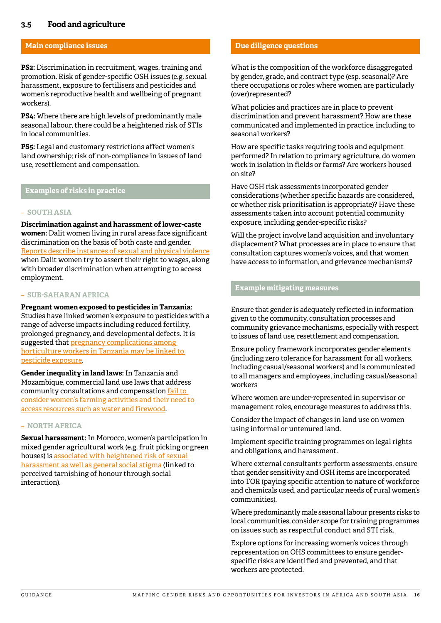#### <span id="page-15-0"></span>**3.5 Food and agriculture**

#### **Main compliance issues**

**PS2:** Discrimination in recruitment, wages, training and promotion. Risk of gender-specific OSH issues (e.g. sexual harassment, exposure to fertilisers and pesticides and women's reproductive health and wellbeing of pregnant workers).

**PS4:** Where there are high levels of predominantly male seasonal labour, there could be a heightened risk of STIs in local communities.

**PS5:** Legal and customary restrictions affect women's land ownership; risk of non-compliance in issues of land use, resettlement and compensation.

#### **Examples of risks in practice**

#### – **SOUTH ASIA**

**Discrimination against and harassment of lower-caste women:** Dalit women living in rural areas face significant discrimination on the basis of both caste and gender. [Reports describe instances of sexual and physical violence](https://www.ohchr.org/Documents/HRBodies/CEDAW/RuralWomen/FEDONavsarjanTrustIDS.pdf) when Dalit women try to assert their right to wages, along with broader discrimination when attempting to access employment.

#### – **SUB-SAHARAN AFRICA**

**Pregnant women exposed to pesticides in Tanzania:** Studies have linked women's exposure to pesticides with a range of adverse impacts including reduced fertility, prolonged pregnancy, and developmental defects. It is suggested that pregnancy complications among [horticulture workers in Tanzania may be linked to](https://journals.sagepub.com/doi/full/10.1177/1178630217715237)  [pesticide exposure.](https://journals.sagepub.com/doi/full/10.1177/1178630217715237)

**Gender inequality in land laws:** In Tanzania and Mozambique, commercial land use laws that address community consultations and compensation [fail to](https://www.wri.org/publication/a-fair-share-for-women)  [consider women's farming activities and their need to](https://www.wri.org/publication/a-fair-share-for-women)  [access resources such as water and firewood](https://www.wri.org/publication/a-fair-share-for-women).

#### – **NORTH AFRICA**

**Sexual harassment:** In Morocco, women's participation in mixed gender agricultural work (e.g. fruit picking or green houses) is [associated with heightened risk of sexual](http://documents.worldbank.org/curated/en/798491468000266024/pdf/103907-WP-P144621-PUBLIC-Non-BOARD-VERSION-Morocco-Gender-ENG-3-8-16-web.pdf)  [harassment as well as general social stigma](http://documents.worldbank.org/curated/en/798491468000266024/pdf/103907-WP-P144621-PUBLIC-Non-BOARD-VERSION-Morocco-Gender-ENG-3-8-16-web.pdf) (linked to perceived tarnishing of honour through social interaction).

#### **Due diligence questions**

What is the composition of the workforce disaggregated by gender, grade, and contract type (esp. seasonal)? Are there occupations or roles where women are particularly (over)represented?

What policies and practices are in place to prevent discrimination and prevent harassment? How are these communicated and implemented in practice, including to seasonal workers?

How are specific tasks requiring tools and equipment performed? In relation to primary agriculture, do women work in isolation in fields or farms? Are workers housed on site?

Have OSH risk assessments incorporated gender considerations (whether specific hazards are considered, or whether risk prioritisation is appropriate)? Have these assessments taken into account potential community exposure, including gender-specific risks?

Will the project involve land acquisition and involuntary displacement? What processes are in place to ensure that consultation captures women's voices, and that women have access to information, and grievance mechanisms?

#### **Example mitigating measures**

Ensure that gender is adequately reflected in information given to the community, consultation processes and community grievance mechanisms, especially with respect to issues of land use, resettlement and compensation.

Ensure policy framework incorporates gender elements (including zero tolerance for harassment for all workers, including casual/seasonal workers) and is communicated to all managers and employees, including casual/seasonal workers

Where women are under-represented in supervisor or management roles, encourage measures to address this.

Consider the impact of changes in land use on women using informal or untenured land.

Implement specific training programmes on legal rights and obligations, and harassment.

Where external consultants perform assessments, ensure that gender sensitivity and OSH items are incorporated into TOR (paying specific attention to nature of workforce and chemicals used, and particular needs of rural women's communities).

Where predominantly male seasonal labour presents risks to local communities, consider scope for training programmes on issues such as respectful conduct and STI risk.

Explore options for increasing women's voices through representation on OHS committees to ensure genderspecific risks are identified and prevented, and that workers are protected.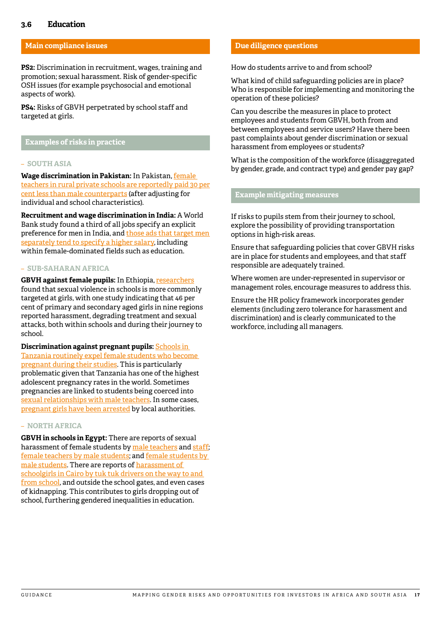#### <span id="page-16-0"></span>**3.6 Education**

#### **Main compliance issues**

**PS2:** Discrimination in recruitment, wages, training and promotion; sexual harassment. Risk of gender-specific OSH issues (for example psychosocial and emotional aspects of work).

**PS4:** Risks of GBVH perpetrated by school staff and targeted at girls.

#### **Examples of risks in practice**

#### – **SOUTH ASIA**

**Wage discrimination in Pakistan:** In Pakistan, [female](https://openknowledge.worldbank.org/handle/10986/4391)  [teachers in rural private schools are reportedly paid 30 per](https://openknowledge.worldbank.org/handle/10986/4391) [cent less than male counterparts](https://openknowledge.worldbank.org/handle/10986/4391) (after adjusting for individual and school characteristics).

**Recruitment and wage discrimination in India:** A World Bank study found a third of all jobs specify an explicit preference for men in India, and those ads that target men [separately tend to specify a higher salary](http://documents.worldbank.org/curated/en/548581522089881652/pdf/WPS8379.pdf), including within female-dominated fields such as education.

#### – **SUB-SAHARAN AFRICA**

**GBVH against female pupils:** In Ethiopia, [researchers](http://discovery.ucl.ac.uk/10044584/) found that sexual violence in schools is more commonly targeted at girls, with one study indicating that 46 per cent of primary and secondary aged girls in nine regions reported harassment, degrading treatment and sexual attacks, both within schools and during their journey to school.

**Discrimination against pregnant pupils:** [Schools in](https://www.hrw.org/news/2017/02/14/tanzania-15-million-adolescents-not-school)  [Tanzania routinely expel female students who become](https://www.hrw.org/news/2017/02/14/tanzania-15-million-adolescents-not-school)  [pregnant during their studies](https://www.hrw.org/news/2017/02/14/tanzania-15-million-adolescents-not-school). This is particularly problematic given that Tanzania has one of the highest adolescent pregnancy rates in the world. Sometimes pregnancies are linked to students being coerced into [sexual relationships with male teachers](https://www.indepthnews.net/index.php/the-world/africa/1609-tanzania-pushing-gender-empowerment-despite-hurdles). In some cases, [pregnant girls have been arrested](https://www.africanews.com/2018/01/08/tanzania-arrests-pregnant-schoolgirls-hunting-for-men-responsible/) by local authorities.

#### – **NORTH AFRICA**

**GBVH in schools in Egypt:** There are reports of sexual harassment of female students by [male teachers](https://egyptianstreets.com/2014/06/22/egyptian-middle-school-teacher-to-stand-trial-for-sexually-harassing-a-student/) and [staff;](https://www.al-monitor.com/pulse/originals/2016/04/egypt-students-schools-sexual-assault-protection.html) [female teachers by male students](http://english.ahram.org.eg/NewsContent/1/64/181399/Egypt/Politics-/Egyptian-rights-group-condemns-student-sexual-hara.aspx); and [female students by](https://caritas-egypt.org/en/project/harassment-teenagers-alex/)  [male students](https://caritas-egypt.org/en/project/harassment-teenagers-alex/). There are reports of [harassment of](https://www.planusa.org/fighting-sexual-harassment-with-art-therapy-in-egypt)  [schoolgirls in Cairo by tuk tuk drivers on the way to and](https://www.planusa.org/fighting-sexual-harassment-with-art-therapy-in-egypt)  [from school,](https://www.planusa.org/fighting-sexual-harassment-with-art-therapy-in-egypt) and outside the school gates, and even cases of kidnapping. This contributes to girls dropping out of school, furthering gendered inequalities in education.

#### **Due diligence questions**

How do students arrive to and from school?

What kind of child safeguarding policies are in place? Who is responsible for implementing and monitoring the operation of these policies?

Can you describe the measures in place to protect employees and students from GBVH, both from and between employees and service users? Have there been past complaints about gender discrimination or sexual harassment from employees or students?

What is the composition of the workforce (disaggregated by gender, grade, and contract type) and gender pay gap?

#### **Example mitigating measures**

If risks to pupils stem from their journey to school, explore the possibility of providing transportation options in high-risk areas.

Ensure that safeguarding policies that cover GBVH risks are in place for students and employees, and that staff responsible are adequately trained.

Where women are under-represented in supervisor or management roles, encourage measures to address this.

Ensure the HR policy framework incorporates gender elements (including zero tolerance for harassment and discrimination) and is clearly communicated to the workforce, including all managers.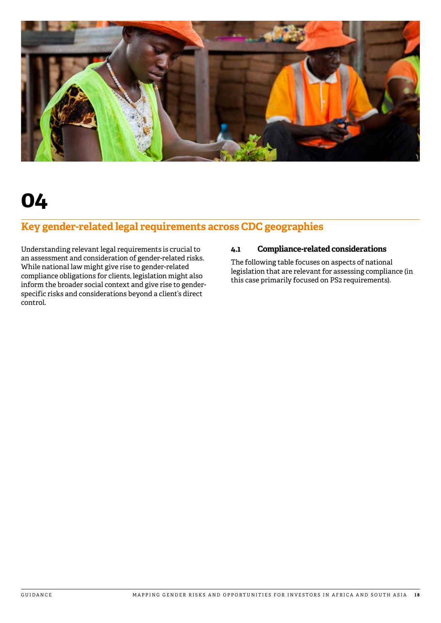<span id="page-17-0"></span>

## **Key gender-related legal requirements across CDC geographies**

Understanding relevant legal requirements is crucial to an assessment and consideration of gender-related risks. While national law might give rise to gender-related compliance obligations for clients, legislation might also inform the broader social context and give rise to genderspecific risks and considerations beyond a client's direct control.

#### **4.1 Compliance-related considerations**

The following table focuses on aspects of national legislation that are relevant for assessing compliance (in this case primarily focused on PS2 requirements).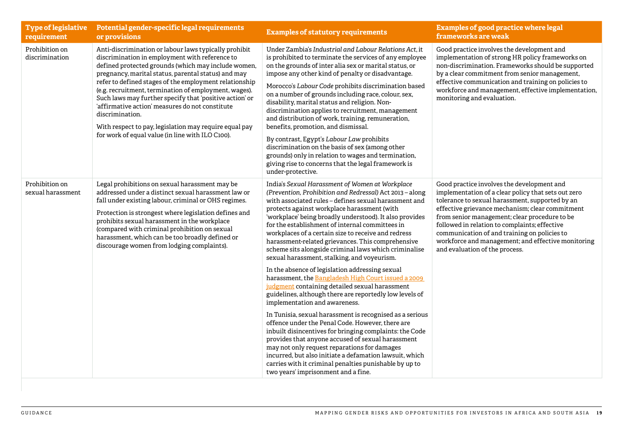| <b>Type of legislative</b><br>requirement | Potential gender-specific legal requirements<br>or provisions                                                                                                                                                                                                                                                                                                                                                                                                                                                                                                                           | <b>Examples of statutory requirements</b>                                                                                                                                                                                                                                                                                                                                                                                                                                                                                                                                                                                                                                                                                                                                                                                                                                                                                                                                                                                                                                                                                                                                                                                                                 | <b>Examples of good practice where legal</b><br>frameworks are weak                                                                                                                                                                                                                                                                                                                                                                               |
|-------------------------------------------|-----------------------------------------------------------------------------------------------------------------------------------------------------------------------------------------------------------------------------------------------------------------------------------------------------------------------------------------------------------------------------------------------------------------------------------------------------------------------------------------------------------------------------------------------------------------------------------------|-----------------------------------------------------------------------------------------------------------------------------------------------------------------------------------------------------------------------------------------------------------------------------------------------------------------------------------------------------------------------------------------------------------------------------------------------------------------------------------------------------------------------------------------------------------------------------------------------------------------------------------------------------------------------------------------------------------------------------------------------------------------------------------------------------------------------------------------------------------------------------------------------------------------------------------------------------------------------------------------------------------------------------------------------------------------------------------------------------------------------------------------------------------------------------------------------------------------------------------------------------------|---------------------------------------------------------------------------------------------------------------------------------------------------------------------------------------------------------------------------------------------------------------------------------------------------------------------------------------------------------------------------------------------------------------------------------------------------|
| Prohibition on<br>discrimination          | Anti-discrimination or labour laws typically prohibit<br>discrimination in employment with reference to<br>defined protected grounds (which may include women,<br>pregnancy, marital status, parental status) and may<br>refer to defined stages of the employment relationship<br>(e.g. recruitment, termination of employment, wages).<br>Such laws may further specify that 'positive action' or<br>'affirmative action' measures do not constitute<br>discrimination.<br>With respect to pay, legislation may require equal pay<br>for work of equal value (in line with ILO C100). | Under Zambia's Industrial and Labour Relations Act, it<br>is prohibited to terminate the services of any employee<br>on the grounds of inter alia sex or marital status, or<br>impose any other kind of penalty or disadvantage.<br>Morocco's Labour Code prohibits discrimination based<br>on a number of grounds including race, colour, sex,<br>disability, marital status and religion. Non-<br>discrimination applies to recruitment, management<br>and distribution of work, training, remuneration,<br>benefits, promotion, and dismissal.<br>By contrast, Egypt's Labour Law prohibits<br>discrimination on the basis of sex (among other<br>grounds) only in relation to wages and termination,<br>giving rise to concerns that the legal framework is<br>under-protective.                                                                                                                                                                                                                                                                                                                                                                                                                                                                      | Good practice involves the development and<br>implementation of strong HR policy frameworks on<br>non-discrimination. Frameworks should be supported<br>by a clear commitment from senior management,<br>effective communication and training on policies to<br>workforce and management, effective implementation,<br>monitoring and evaluation.                                                                                                 |
| Prohibition on<br>sexual harassment       | Legal prohibitions on sexual harassment may be<br>addressed under a distinct sexual harassment law or<br>fall under existing labour, criminal or OHS regimes.<br>Protection is strongest where legislation defines and<br>prohibits sexual harassment in the workplace<br>(compared with criminal prohibition on sexual<br>harassment, which can be too broadly defined or<br>discourage women from lodging complaints).                                                                                                                                                                | India's Sexual Harassment of Women at Workplace<br>(Prevention, Prohibition and Redressal) Act 2013 - along<br>with associated rules - defines sexual harassment and<br>protects against workplace harassment (with<br>'workplace' being broadly understood). It also provides<br>for the establishment of internal committees in<br>workplaces of a certain size to receive and redress<br>harassment-related grievances. This comprehensive<br>scheme sits alongside criminal laws which criminalise<br>sexual harassment, stalking, and voyeurism.<br>In the absence of legislation addressing sexual<br>harassment, the Bangladesh High Court issued a 2009<br>judgment containing detailed sexual harassment<br>guidelines, although there are reportedly low levels of<br>implementation and awareness.<br>In Tunisia, sexual harassment is recognised as a serious<br>offence under the Penal Code. However, there are<br>inbuilt disincentives for bringing complaints: the Code<br>provides that anyone accused of sexual harassment<br>may not only request reparations for damages<br>incurred, but also initiate a defamation lawsuit, which<br>carries with it criminal penalties punishable by up to<br>two years' imprisonment and a fine. | Good practice involves the development and<br>implementation of a clear policy that sets out zero<br>tolerance to sexual harassment, supported by an<br>effective grievance mechanism; clear commitment<br>from senior management; clear procedure to be<br>followed in relation to complaints; effective<br>communication of and training on policies to<br>workforce and management; and effective monitoring<br>and evaluation of the process. |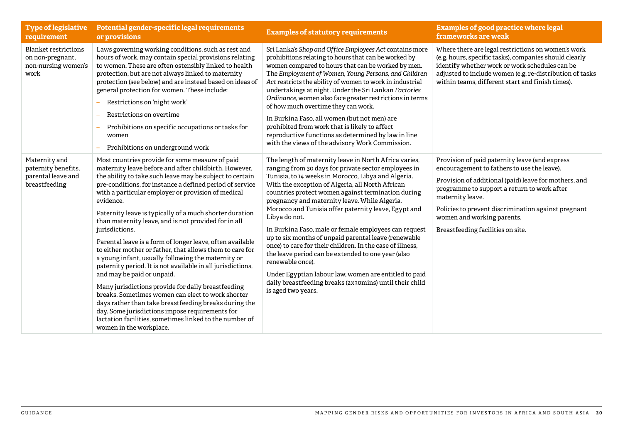| <b>Type of legislative</b><br>requirement                                      | Potential gender-specific legal requirements<br>or provisions                                                                                                                                                                                                                                                                                                                                                                                                                                                                                                                                                                                                                                                                                                                                                                                                                                                                                                                                                                     | <b>Examples of statutory requirements</b>                                                                                                                                                                                                                                                                                                                                                                                                                                                                                                                                                                                                                                                                                                                                                                  | <b>Examples of good practice where legal</b><br>frameworks are weak                                                                                                                                                                                                                                                                                 |
|--------------------------------------------------------------------------------|-----------------------------------------------------------------------------------------------------------------------------------------------------------------------------------------------------------------------------------------------------------------------------------------------------------------------------------------------------------------------------------------------------------------------------------------------------------------------------------------------------------------------------------------------------------------------------------------------------------------------------------------------------------------------------------------------------------------------------------------------------------------------------------------------------------------------------------------------------------------------------------------------------------------------------------------------------------------------------------------------------------------------------------|------------------------------------------------------------------------------------------------------------------------------------------------------------------------------------------------------------------------------------------------------------------------------------------------------------------------------------------------------------------------------------------------------------------------------------------------------------------------------------------------------------------------------------------------------------------------------------------------------------------------------------------------------------------------------------------------------------------------------------------------------------------------------------------------------------|-----------------------------------------------------------------------------------------------------------------------------------------------------------------------------------------------------------------------------------------------------------------------------------------------------------------------------------------------------|
| <b>Blanket restrictions</b><br>on non-pregnant,<br>non-nursing women's<br>work | Laws governing working conditions, such as rest and<br>hours of work, may contain special provisions relating<br>to women. These are often ostensibly linked to health<br>protection, but are not always linked to maternity<br>protection (see below) and are instead based on ideas of<br>general protection for women. These include:<br>Restrictions on 'night work'<br>Restrictions on overtime<br>Prohibitions on specific occupations or tasks for<br>women<br>Prohibitions on underground work                                                                                                                                                                                                                                                                                                                                                                                                                                                                                                                            | Sri Lanka's Shop and Office Employees Act contains more<br>prohibitions relating to hours that can be worked by<br>women compared to hours that can be worked by men.<br>The Employment of Women, Young Persons, and Children<br>Act restricts the ability of women to work in industrial<br>undertakings at night. Under the Sri Lankan Factories<br>Ordinance, women also face greater restrictions in terms<br>of how much overtime they can work.<br>In Burkina Faso, all women (but not men) are<br>prohibited from work that is likely to affect<br>reproductive functions as determined by law in line<br>with the views of the advisory Work Commission.                                                                                                                                           | Where there are legal restrictions on women's work<br>(e.g. hours, specific tasks), companies should clearly<br>identify whether work or work schedules can be<br>adjusted to include women (e.g. re-distribution of tasks<br>within teams, different start and finish times).                                                                      |
| Maternity and<br>paternity benefits,<br>parental leave and<br>breastfeeding    | Most countries provide for some measure of paid<br>maternity leave before and after childbirth. However,<br>the ability to take such leave may be subject to certain<br>pre-conditions, for instance a defined period of service<br>with a particular employer or provision of medical<br>evidence.<br>Paternity leave is typically of a much shorter duration<br>than maternity leave, and is not provided for in all<br>jurisdictions.<br>Parental leave is a form of longer leave, often available<br>to either mother or father, that allows them to care for<br>a young infant, usually following the maternity or<br>paternity period. It is not available in all jurisdictions,<br>and may be paid or unpaid.<br>Many jurisdictions provide for daily breastfeeding<br>breaks. Sometimes women can elect to work shorter<br>days rather than take breastfeeding breaks during the<br>day. Some jurisdictions impose requirements for<br>lactation facilities, sometimes linked to the number of<br>women in the workplace. | The length of maternity leave in North Africa varies,<br>ranging from 30 days for private sector employees in<br>Tunisia, to 14 weeks in Morocco, Libya and Algeria.<br>With the exception of Algeria, all North African<br>countries protect women against termination during<br>pregnancy and maternity leave. While Algeria,<br>Morocco and Tunisia offer paternity leave, Egypt and<br>Libya do not.<br>In Burkina Faso, male or female employees can request<br>up to six months of unpaid parental leave (renewable<br>once) to care for their children. In the case of illness,<br>the leave period can be extended to one year (also<br>renewable once).<br>Under Egyptian labour law, women are entitled to paid<br>daily breastfeeding breaks (2x30mins) until their child<br>is aged two years. | Provision of paid paternity leave (and express<br>encouragement to fathers to use the leave).<br>Provision of additional (paid) leave for mothers, and<br>programme to support a return to work after<br>maternity leave.<br>Policies to prevent discrimination against pregnant<br>women and working parents.<br>Breastfeeding facilities on site. |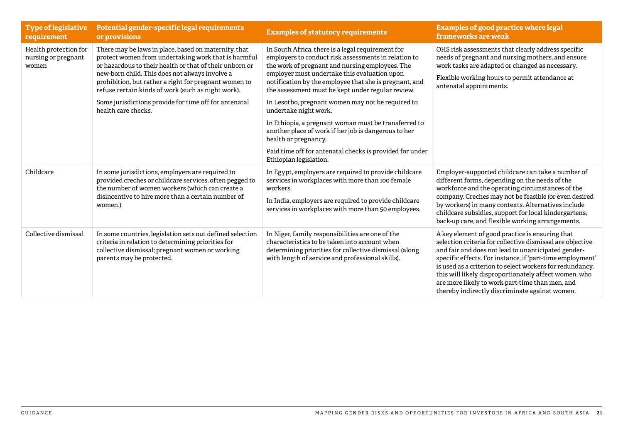| <b>Type of legislative</b><br>requirement             | Potential gender-specific legal requirements<br>or provisions                                                                                                                                                                                                                                                                                                                                                           | <b>Examples of statutory requirements</b>                                                                                                                                                                                                                                                                                                                                        | <b>Examples of good practice where legal</b><br>frameworks are weak                                                                                                                                                                                                                                                                                                                                                                                        |
|-------------------------------------------------------|-------------------------------------------------------------------------------------------------------------------------------------------------------------------------------------------------------------------------------------------------------------------------------------------------------------------------------------------------------------------------------------------------------------------------|----------------------------------------------------------------------------------------------------------------------------------------------------------------------------------------------------------------------------------------------------------------------------------------------------------------------------------------------------------------------------------|------------------------------------------------------------------------------------------------------------------------------------------------------------------------------------------------------------------------------------------------------------------------------------------------------------------------------------------------------------------------------------------------------------------------------------------------------------|
| Health protection for<br>nursing or pregnant<br>women | There may be laws in place, based on maternity, that<br>protect women from undertaking work that is harmful<br>or hazardous to their health or that of their unborn or<br>new-born child. This does not always involve a<br>prohibition, but rather a right for pregnant women to<br>refuse certain kinds of work (such as night work).<br>Some jurisdictions provide for time off for antenatal<br>health care checks. | In South Africa, there is a legal requirement for<br>employers to conduct risk assessments in relation to<br>the work of pregnant and nursing employees. The<br>employer must undertake this evaluation upon<br>notification by the employee that she is pregnant, and<br>the assessment must be kept under regular review.<br>In Lesotho, pregnant women may not be required to | OHS risk assessments that clearly address specific<br>needs of pregnant and nursing mothers, and ensure<br>work tasks are adapted or changed as necessary.<br>Flexible working hours to permit attendance at<br>antenatal appointments.                                                                                                                                                                                                                    |
|                                                       |                                                                                                                                                                                                                                                                                                                                                                                                                         | undertake night work.<br>In Ethiopia, a pregnant woman must be transferred to<br>another place of work if her job is dangerous to her<br>health or pregnancy.                                                                                                                                                                                                                    |                                                                                                                                                                                                                                                                                                                                                                                                                                                            |
|                                                       |                                                                                                                                                                                                                                                                                                                                                                                                                         | Paid time off for antenatal checks is provided for under<br>Ethiopian legislation.                                                                                                                                                                                                                                                                                               |                                                                                                                                                                                                                                                                                                                                                                                                                                                            |
| Childcare                                             | In some jurisdictions, employers are required to<br>provided creches or childcare services, often pegged to<br>the number of women workers (which can create a<br>disincentive to hire more than a certain number of<br>women.)                                                                                                                                                                                         | In Egypt, employers are required to provide childcare<br>services in workplaces with more than 100 female<br>workers.<br>In India, employers are required to provide childcare<br>services in workplaces with more than 50 employees.                                                                                                                                            | Employer-supported childcare can take a number of<br>different forms, depending on the needs of the<br>workforce and the operating circumstances of the<br>company. Creches may not be feasible (or even desired<br>by workers) in many contexts. Alternatives include<br>childcare subsidies, support for local kindergartens,<br>back-up care, and flexible working arrangements.                                                                        |
| Collective dismissal                                  | In some countries, legislation sets out defined selection<br>criteria in relation to determining priorities for<br>collective dismissal; pregnant women or working<br>parents may be protected.                                                                                                                                                                                                                         | In Niger, family responsibilities are one of the<br>characteristics to be taken into account when<br>determining priorities for collective dismissal (along<br>with length of service and professional skills).                                                                                                                                                                  | A key element of good practice is ensuring that<br>selection criteria for collective dismissal are objective<br>and fair and does not lead to unanticipated gender-<br>specific effects. For instance, if 'part-time employment'<br>is used as a criterion to select workers for redundancy,<br>this will likely disproportionately affect women, who<br>are more likely to work part-time than men, and<br>thereby indirectly discriminate against women. |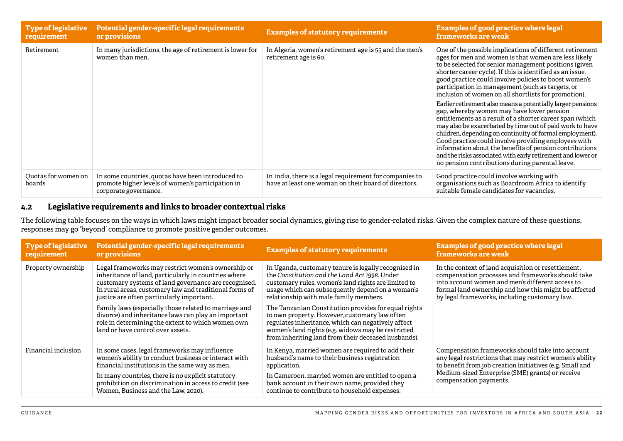<span id="page-21-0"></span>

| Type of legislative<br>requirement | Potential gender-specific legal requirements<br>or provisions                                                                   | <b>Examples of statutory requirements</b>                                                                       | <b>Examples of good practice where legal</b><br>frameworks are weak                                                                                                                                                                                                                                                                                                                                                                                                                                                               |
|------------------------------------|---------------------------------------------------------------------------------------------------------------------------------|-----------------------------------------------------------------------------------------------------------------|-----------------------------------------------------------------------------------------------------------------------------------------------------------------------------------------------------------------------------------------------------------------------------------------------------------------------------------------------------------------------------------------------------------------------------------------------------------------------------------------------------------------------------------|
| Retirement                         | In many jurisdictions, the age of retirement is lower for<br>women than men.                                                    | In Algeria, women's retirement age is 55 and the men's<br>retirement age is 60.                                 | One of the possible implications of different retirement<br>ages for men and women is that women are less likely<br>to be selected for senior management positions (given<br>shorter career cycle). If this is identified as an issue,<br>good practice could involve policies to boost women's<br>participation in management (such as targets, or<br>inclusion of women on all shortlists for promotion).                                                                                                                       |
|                                    |                                                                                                                                 |                                                                                                                 | Earlier retirement also means a potentially larger pensions<br>gap, whereby women may have lower pension<br>entitlements as a result of a shorter career span (which<br>may also be exacerbated by time out of paid work to have<br>children, depending on continuity of formal employment).<br>Good practice could involve providing employees with<br>information about the benefits of pension contributions<br>and the risks associated with early retirement and lower or<br>no pension contributions during parental leave. |
| Quotas for women on<br>boards      | In some countries, quotas have been introduced to<br>promote higher levels of women's participation in<br>corporate governance. | In India, there is a legal requirement for companies to<br>have at least one woman on their board of directors. | Good practice could involve working with<br>organisations such as Boardroom Africa to identify<br>suitable female candidates for vacancies.                                                                                                                                                                                                                                                                                                                                                                                       |

#### **4.2 Legislative requirements and links to broader contextual risks**

The following table focuses on the ways in which laws might impact broader social dynamics, giving rise to gender-related risks. Given the complex nature of these questions, responses may go 'beyond' compliance to promote positive gender outcomes.

| <b>Type of legislative</b> | Potential gender-specific legal requirements                                                                                                                                                                                                                                                                  | <b>Examples of statutory requirements</b>                                                                                                                                                                                                                                 | <b>Examples of good practice where legal</b>                                                                                                                                                                                                           |
|----------------------------|---------------------------------------------------------------------------------------------------------------------------------------------------------------------------------------------------------------------------------------------------------------------------------------------------------------|---------------------------------------------------------------------------------------------------------------------------------------------------------------------------------------------------------------------------------------------------------------------------|--------------------------------------------------------------------------------------------------------------------------------------------------------------------------------------------------------------------------------------------------------|
| requirement                | or provisions                                                                                                                                                                                                                                                                                                 |                                                                                                                                                                                                                                                                           | frameworks are weak                                                                                                                                                                                                                                    |
| Property ownership         | Legal frameworks may restrict women's ownership or                                                                                                                                                                                                                                                            | In Uganda, customary tenure is legally recognised in                                                                                                                                                                                                                      | In the context of land acquisition or resettlement,                                                                                                                                                                                                    |
|                            | inheritance of land, particularly in countries where                                                                                                                                                                                                                                                          | the Constitution and the Land Act 1998. Under                                                                                                                                                                                                                             | compensation processes and frameworks should take                                                                                                                                                                                                      |
|                            | customary systems of land governance are recognised.                                                                                                                                                                                                                                                          | customary rules, women's land rights are limited to                                                                                                                                                                                                                       | into account women and men's different access to                                                                                                                                                                                                       |
|                            | In rural areas, customary law and traditional forms of                                                                                                                                                                                                                                                        | usage which can subsequently depend on a woman's                                                                                                                                                                                                                          | formal land ownership and how this might be affected                                                                                                                                                                                                   |
|                            | justice are often particularly important.                                                                                                                                                                                                                                                                     | relationship with male family members.                                                                                                                                                                                                                                    | by legal frameworks, including customary law.                                                                                                                                                                                                          |
|                            | Family laws (especially those related to marriage and<br>divorce) and inheritance laws can play an important<br>role in determining the extent to which women own<br>land or have control over assets.                                                                                                        | The Tanzanian Constitution provides for equal rights<br>to own property. However, customary law often<br>regulates inheritance, which can negatively affect<br>women's land rights (e.g. widows may be restricted<br>from inheriting land from their deceased husbands).  |                                                                                                                                                                                                                                                        |
| Financial inclusion        | In some cases, legal frameworks may influence<br>women's ability to conduct business or interact with<br>financial institutions in the same way as men.<br>In many countries, there is no explicit statutory<br>prohibition on discrimination in access to credit (see<br>Women, Business and the Law, 2020). | In Kenya, married women are required to add their<br>husband's name to their business registration<br>application.<br>In Cameroon, married women are entitled to open a<br>bank account in their own name, provided they<br>continue to contribute to household expenses. | Compensation frameworks should take into account<br>any legal restrictions that may restrict women's ability<br>to benefit from job creation initiatives (e.g. Small and<br>Medium-sized Enterprise (SME) grants) or receive<br>compensation payments. |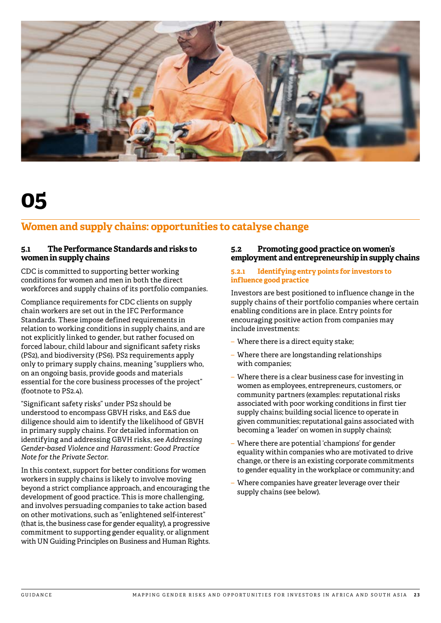<span id="page-22-0"></span>

### **Women and supply chains: opportunities to catalyse change**

#### **5.1 The Performance Standards and risks to women in supply chains**

CDC is committed to supporting better working conditions for women and men in both the direct workforces and supply chains of its portfolio companies.

Compliance requirements for CDC clients on supply chain workers are set out in the IFC Performance Standards. These impose defined requirements in relation to working conditions in supply chains, and are not explicitly linked to gender, but rather focused on forced labour, child labour and significant safety risks (PS2), and biodiversity (PS6). PS2 requirements apply only to primary supply chains, meaning "suppliers who, on an ongoing basis, provide goods and materials essential for the core business processes of the project" (footnote to PS2.4).

"Significant safety risks" under PS2 should be understood to encompass GBVH risks, and E&S due diligence should aim to identify the likelihood of GBVH in primary supply chains. For detailed information on identifying and addressing GBVH risks, see *Addressing Gender-based Violence and Harassment: Good Practice Note for the Private Sector*.

In this context, support for better conditions for women workers in supply chains is likely to involve moving beyond a strict compliance approach, and encouraging the development of good practice. This is more challenging, and involves persuading companies to take action based on other motivations, such as "enlightened self-interest" (that is, the business case for gender equality), a progressive commitment to supporting gender equality, or alignment with UN Guiding Principles on Business and Human Rights.

#### **5.2 Promoting good practice on women's employment and entrepreneurship in supply chains**

#### **5.2.1 Identifying entry points for investors to influence good practice**

Investors are best positioned to influence change in the supply chains of their portfolio companies where certain enabling conditions are in place. Entry points for encouraging positive action from companies may include investments:

- Where there is a direct equity stake;
- Where there are longstanding relationships with companies;
- Where there is a clear business case for investing in women as employees, entrepreneurs, customers, or community partners (examples: reputational risks associated with poor working conditions in first tier supply chains; building social licence to operate in given communities; reputational gains associated with becoming a 'leader' on women in supply chains);
- Where there are potential 'champions' for gender equality within companies who are motivated to drive change, or there is an existing corporate commitments to gender equality in the workplace or community; and
- Where companies have greater leverage over their supply chains (see below).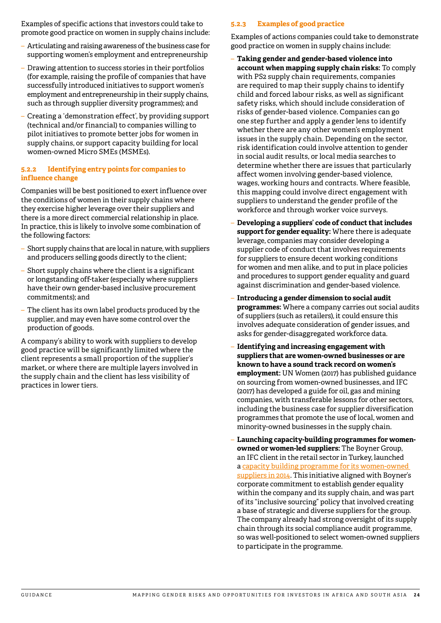<span id="page-23-0"></span>Examples of specific actions that investors could take to promote good practice on women in supply chains include:

- Articulating and raising awareness of the business case for supporting women's employment and entrepreneurship
- Drawing attention to success stories in their portfolios (for example, raising the profile of companies that have successfully introduced initiatives to support women's employment and entrepreneurship in their supply chains, such as through supplier diversity programmes); and
- Creating a 'demonstration effect', by providing support (technical and/or financial) to companies willing to pilot initiatives to promote better jobs for women in supply chains, or support capacity building for local women-owned Micro SMEs (MSMEs).

#### **5.2.2 Identifying entry points for companies to influence change**

Companies will be best positioned to exert influence over the conditions of women in their supply chains where they exercise higher leverage over their suppliers and there is a more direct commercial relationship in place. In practice, this is likely to involve some combination of the following factors:

- Short supply chains that are local in nature, with suppliers and producers selling goods directly to the client;
- Short supply chains where the client is a significant or longstanding off-taker (especially where suppliers have their own gender-based inclusive procurement commitments); and
- The client has its own label products produced by the supplier, and may even have some control over the production of goods.

A company's ability to work with suppliers to develop good practice will be significantly limited where the client represents a small proportion of the supplier's market, or where there are multiple layers involved in the supply chain and the client has less visibility of practices in lower tiers.

#### **5.2.3 Examples of good practice**

Examples of actions companies could take to demonstrate good practice on women in supply chains include:

- **Taking gender and gender-based violence into account when mapping supply chain risks:** To comply with PS2 supply chain requirements, companies are required to map their supply chains to identify child and forced labour risks, as well as significant safety risks, which should include consideration of risks of gender-based violence. Companies can go one step further and apply a gender lens to identify whether there are any other women's employment issues in the supply chain. Depending on the sector, risk identification could involve attention to gender in social audit results, or local media searches to determine whether there are issues that particularly affect women involving gender-based violence, wages, working hours and contracts. Where feasible, this mapping could involve direct engagement with suppliers to understand the gender profile of the workforce and through worker voice surveys.
- **Developing a suppliers' code of conduct that includes support for gender equality:** Where there is adequate leverage, companies may consider developing a supplier code of conduct that involves requirements for suppliers to ensure decent working conditions for women and men alike, and to put in place policies and procedures to support gender equality and guard against discrimination and gender-based violence.
- **Introducing a gender dimension to social audit programmes:** Where a company carries out social audits of suppliers (such as retailers), it could ensure this involves adequate consideration of gender issues, and asks for gender-disaggregated workforce data.
- **Identifying and increasing engagement with suppliers that are women-owned businesses or are known to have a sound track record on women's employment:** UN Women (2017) has published guidance on sourcing from women-owned businesses, and IFC (2017) has developed a guide for oil, gas and mining companies, with transferable lessons for other sectors, including the business case for supplier diversification programmes that promote the use of local, women and minority-owned businesses in the supply chain.
- **Launching capacity-building programmes for womenowned or women-led suppliers:** The Boyner Group, an IFC client in the retail sector in Turkey, launched a [capacity building programme for its women-owned](https://www.ifc.org/wps/wcm/connect/ee3e54ec-8d41-4ece-8653-ce704ed01761/Boyner-Case+Study_28-6-2016.pdf?MOD=AJPERES)  [suppliers in 2014.](https://www.ifc.org/wps/wcm/connect/ee3e54ec-8d41-4ece-8653-ce704ed01761/Boyner-Case+Study_28-6-2016.pdf?MOD=AJPERES) This initiative aligned with Boyner's corporate commitment to establish gender equality within the company and its supply chain, and was part of its "inclusive sourcing" policy that involved creating a base of strategic and diverse suppliers for the group. The company already had strong oversight of its supply chain through its social compliance audit programme, so was well-positioned to select women-owned suppliers to participate in the programme.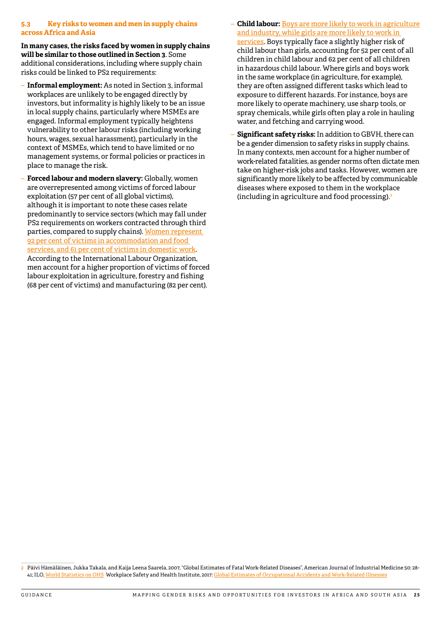#### <span id="page-24-0"></span>**5.3 Key risks to women and men in supply chains across Africa and Asia**

**In many cases, the risks faced by women in supply chains will be similar to those outlined in Section 3**. Some additional considerations, including where supply chain risks could be linked to PS2 requirements:

- **Informal employment:** As noted in Section 3, informal workplaces are unlikely to be engaged directly by investors, but informality is highly likely to be an issue in local supply chains, particularly where MSMEs are engaged. Informal employment typically heightens vulnerability to other labour risks (including working hours, wages, sexual harassment), particularly in the context of MSMEs, which tend to have limited or no management systems, or formal policies or practices in place to manage the risk.
- **Forced labour and modern slavery:** Globally, women are overrepresented among victims of forced labour exploitation (57 per cent of all global victims), although it is important to note these cases relate predominantly to service sectors (which may fall under PS2 requirements on workers contracted through third parties, compared to supply chains). [Women represent](https://www.ilo.org/wcmsp5/groups/public/---dgreports/---dcomm/documents/publication/wcms_575479.pdf)  [92 per cent of victims in accommodation and food](https://www.ilo.org/wcmsp5/groups/public/---dgreports/---dcomm/documents/publication/wcms_575479.pdf)  [services, and 61 per cent of victims in domestic work](https://www.ilo.org/wcmsp5/groups/public/---dgreports/---dcomm/documents/publication/wcms_575479.pdf). According to the International Labour Organization, men account for a higher proportion of victims of forced labour exploitation in agriculture, forestry and fishing (68 per cent of victims) and manufacturing (82 per cent).
- **Child labour:** [Boys are more likely to work in agriculture](https://www.ilo.org/wcmsp5/groups/public/@dgreports/@dcomm/documents/publication/wcms_575499.pdf)  [and industry, while girls are more likely to work in](https://www.ilo.org/wcmsp5/groups/public/@dgreports/@dcomm/documents/publication/wcms_575499.pdf)  [services](https://www.ilo.org/wcmsp5/groups/public/@dgreports/@dcomm/documents/publication/wcms_575499.pdf). Boys typically face a slightly higher risk of child labour than girls, accounting for 52 per cent of all children in child labour and 62 per cent of all children in hazardous child labour. Where girls and boys work in the same workplace (in agriculture, for example), they are often assigned different tasks which lead to exposure to different hazards. For instance, boys are more likely to operate machinery, use sharp tools, or spray chemicals, while girls often play a role in hauling water, and fetching and carrying wood.
- **Significant safety risks:** In addition to GBVH, there can be a gender dimension to safety risks in supply chains. In many contexts, men account for a higher number of work-related fatalities, as gender norms often dictate men take on higher-risk jobs and tasks. However, women are significantly more likely to be affected by communicable diseases where exposed to them in the workplace (including in agriculture and food processing).2

<sup>2</sup> Päivi Hämäläinen, Jukka Takala, and Kaija Leena Saarela, 2007, "Global Estimates of Fatal Work-Related Diseases", American Journal of Industrial Medicine 50: 28- 41; ILO, [World Statistics on OHS](https://www.ilo.org/moscow/areas-of-work/occupational-safety-and-health/WCMS_249278/lang--en/index.htm) Workplace Safety and Health Institute, 2017: [Global Estimates of Occupational Accidents and Work-Related Illnesses](http://www.icohweb.org/site/images/news/pdf/Report Global Estimates of Occupational Accidents and Work-related Illnesses 2017 rev1.pdf)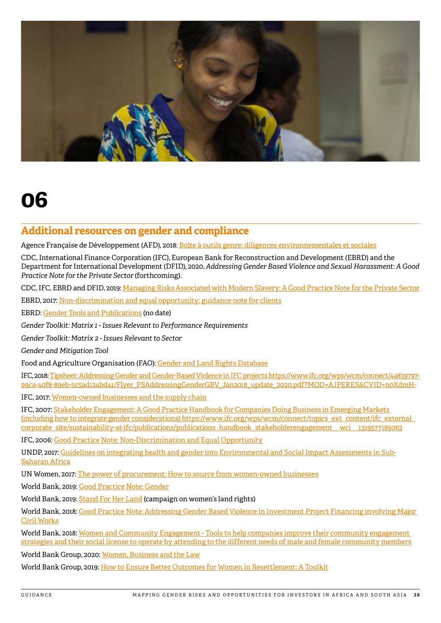<span id="page-25-0"></span>

### **Additional resources on gender and compliance**

Agence Française de Développement (AFD), 2018: [Boîte à outils genre: diligences environnementales et sociales](https://www.afd.fr/fr/boite-outils-genre-diligences-environnementales-et-sociales)

CDC, International Finance Corporation (IFC), European Bank for Reconstruction and Development (EBRD) and the Department for International Development (DFID), 2020, *Addressing Gender Based Violence and Sexual Harassment: A Good Practice Note for the Private Sector* (forthcoming).

CDC, IFC, EBRD and DFID, 2019: [Managing Risks Associated with Modern Slavery: A Good Practice Note for the Private Sector](https://assets.cdcgroup.com/wp-content/uploads/2018/12/03105819/Managing-Risks-Associated-with-Modern-Slavery.pdf) 

EBRD, 2017: [Non-discrimination and equal opportunity: guidance note for clients](https://www.ebrd.com/who-we-are/our-values/environmental-and-social-policy/implementation.html)

EBRD: [Gender Tools and Publications](https://www.ebrd.com/gender-tools-publications.html) (no date)

*Gender Toolkit: Matrix 1 - Issues Relevant to Performance Requirements*

*Gender Toolkit: Matrix 2 - Issues Relevant to Sector*

*Gender and Mitigation Tool*

Food and Agriculture Organisation (FAO): [Gender and Land Rights Database](https://www.commdev.org/wp-content/uploads/2018/05/ToolSuite2_Interior_FIN-05-16_LoRes-1.pdf)

IFC, 2018: Tipsheet: [Addressing Gender and Gender-Based Violence in IFC projects https://www.ifc.org/wps/wcm/connect/4a839797-](https://www.ifc.org/wps/wcm/connect/938f1a0048855805beacfe6a6515bb18/IFC_StakeholderEngagement.pdf?MOD=AJPERES) [99ca-40f8-89eb-5c5ad124bd41/Flyer\\_PSAddressingGenderGBV\\_Jan2018\\_update\\_2020.pdf?MOD=AJPERES&CVID=n0XdmH-](https://www.ifc.org/wps/wcm/connect/938f1a0048855805beacfe6a6515bb18/IFC_StakeholderEngagement.pdf?MOD=AJPERES)

IFC, 2017: [Women-owned businesses and the supply chain](https://www.commdev.org/wp-content/uploads/2018/05/ToolSuite2_Interior_FIN-05-16_LoRes-1.pdf)

IFC, 2007: [Stakeholder Engagement: A Good Practice Handbook for Companies Doing Business in Emerging Markets](https://www.ifc.org/wps/wcm/connect/938f1a0048855805beacfe6a6515bb18/IFC_StakeholderEngagement.pdf?MOD=AJPERES)  [\(including how to integrate gender considerations\) https://www.ifc.org/wps/wcm/connect/topics\\_ext\\_content/ifc\\_external\\_](https://www.ifc.org/wps/wcm/connect/938f1a0048855805beacfe6a6515bb18/IFC_StakeholderEngagement.pdf?MOD=AJPERES) corporate\_site/sustainability-at-ifc/publications/publications\_handbook\_stakeholderengagement\_wci\_1319577185063

IFC, 2006: [Good Practice Note: Non-Discrimination and Equal Opportunity](https://www.ifc.org/wps/wcm/connect/topics_ext_content/ifc_external_corporate_site/sustainability-at-ifc/publications/publications_gpn_nondiscrimination)

UNDP, 2017: [Guidelines on integrating health and gender into Environmental and Social Impact Assessments in Sub-](http://Guidelines on integrating health and gender into Environmental and Social Impact Assessments in Sub-Saharan Africa )[Saharan Africa](http://Guidelines on integrating health and gender into Environmental and Social Impact Assessments in Sub-Saharan Africa )

UN Women, 2017: [The power of procurement: How to source from women-owned businesses](http://www.unwomen.org/en/digital-library/publications/2017/3/the-power-of-procurement)

World Bank, 2019: [Good Practice Note: Gender](http://pubdocs.worldbank.org/en/158041571230608289/Good-Practice-Note-Gender.pdf)

World Bank, 2019: [Stand For Her Land](https://stand4herland.org/) (campaign on women's land rights)

World Bank, 2018: [Good Practice Note: Addressing Gender Based Violence in Investment Project Financing involving Major](http://pubdocs.worldbank.org/en/399881538336159607/Good-Practice-Note-Addressing-Gender-Based-Violencev2.pdf)  [Civil Works](http://pubdocs.worldbank.org/en/399881538336159607/Good-Practice-Note-Addressing-Gender-Based-Violencev2.pdf)

World Bank, 2018: [Women and Community Engagement - Tools to help companies improve their community engagement](http://documents.worldbank.org/curated/en/653501532466173992/pdf/128789-WP-v3-IFC-Gender-Report-2018-Tool-Suite-3-Women-and-Comm-engagement-PUBLIC.pdf)  [strategies and their social license to operate by attending to the different needs of male and female community members](http://documents.worldbank.org/curated/en/653501532466173992/pdf/128789-WP-v3-IFC-Gender-Report-2018-Tool-Suite-3-Women-and-Comm-engagement-PUBLIC.pdf)

World Bank Group, 2020: [Women, Business and the Law](https://wbl.worldbank.org/)

World Bank Group, 2019: [How to Ensure Better Outcomes for Women in Resettlement: A Toolkit](http://documents.worldbank.org/curated/en/812241554967756481/pdf/How-to-Ensure-Better-Outcomes-for-Women-in-Resettlement-A-Toolkit.pdf)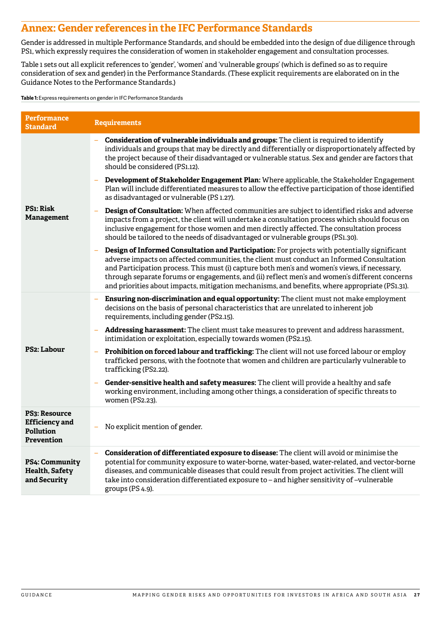### <span id="page-26-0"></span>**Annex: Gender references in the IFC Performance Standards**

Gender is addressed in multiple Performance Standards, and should be embedded into the design of due diligence through PS1, which expressly requires the consideration of women in stakeholder engagement and consultation processes.

Table 1 sets out all explicit references to 'gender', 'women' and 'vulnerable groups' (which is defined so as to require consideration of sex and gender) in the Performance Standards. (These explicit requirements are elaborated on in the Guidance Notes to the Performance Standards.)

**Table 1:** Express requirements on gender in IFC Performance Standards

| Performance<br><b>Standard</b>                                           | <b>Requirements</b>                                                                                                                                                                                                                                                                                                                                                                                                                                                                          |
|--------------------------------------------------------------------------|----------------------------------------------------------------------------------------------------------------------------------------------------------------------------------------------------------------------------------------------------------------------------------------------------------------------------------------------------------------------------------------------------------------------------------------------------------------------------------------------|
|                                                                          | Consideration of vulnerable individuals and groups: The client is required to identify<br>individuals and groups that may be directly and differentially or disproportionately affected by<br>the project because of their disadvantaged or vulnerable status. Sex and gender are factors that<br>should be considered (PS1.12).                                                                                                                                                             |
|                                                                          | Development of Stakeholder Engagement Plan: Where applicable, the Stakeholder Engagement<br>÷,<br>Plan will include differentiated measures to allow the effective participation of those identified<br>as disadvantaged or vulnerable (PS 1.27).                                                                                                                                                                                                                                            |
| <b>PS1: Risk</b><br><b>Management</b>                                    | Design of Consultation: When affected communities are subject to identified risks and adverse<br>impacts from a project, the client will undertake a consultation process which should focus on<br>inclusive engagement for those women and men directly affected. The consultation process<br>should be tailored to the needs of disadvantaged or vulnerable groups (PS1.30).                                                                                                               |
|                                                                          | Design of Informed Consultation and Participation: For projects with potentially significant<br>adverse impacts on affected communities, the client must conduct an Informed Consultation<br>and Participation process. This must (i) capture both men's and women's views, if necessary,<br>through separate forums or engagements, and (ii) reflect men's and women's different concerns<br>and priorities about impacts, mitigation mechanisms, and benefits, where appropriate (PS1.31). |
|                                                                          | Ensuring non-discrimination and equal opportunity: The client must not make employment<br>decisions on the basis of personal characteristics that are unrelated to inherent job<br>requirements, including gender (PS2.15).                                                                                                                                                                                                                                                                  |
|                                                                          | Addressing harassment: The client must take measures to prevent and address harassment,<br>-<br>intimidation or exploitation, especially towards women (PS2.15).                                                                                                                                                                                                                                                                                                                             |
| <b>PS2: Labour</b>                                                       | Prohibition on forced labour and trafficking: The client will not use forced labour or employ<br>trafficked persons, with the footnote that women and children are particularly vulnerable to<br>trafficking (PS2.22).                                                                                                                                                                                                                                                                       |
|                                                                          | Gender-sensitive health and safety measures: The client will provide a healthy and safe<br>working environment, including among other things, a consideration of specific threats to<br>women (PS2.23).                                                                                                                                                                                                                                                                                      |
| <b>PS3: Resource</b><br><b>Efficiency</b> and<br>Pollution<br>Prevention | No explicit mention of gender.<br>÷,                                                                                                                                                                                                                                                                                                                                                                                                                                                         |
| PS4: Community<br>Health, Safety<br>and Security                         | Consideration of differentiated exposure to disease: The client will avoid or minimise the<br>potential for community exposure to water-borne, water-based, water-related, and vector-borne<br>diseases, and communicable diseases that could result from project activities. The client will<br>take into consideration differentiated exposure to - and higher sensitivity of -vulnerable<br>groups (PS 4.9).                                                                              |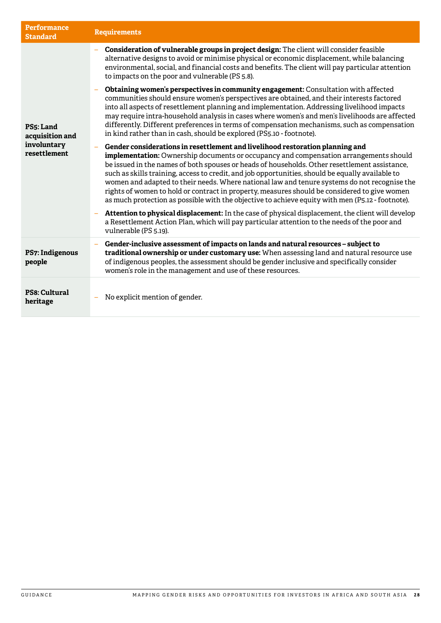| <b>Performance</b><br><b>Standard</b> | <b>Requirements</b>                                                                                                                                                                                                                                                                                                                                                                                                                                                                                                                                                                                                                                                                    |
|---------------------------------------|----------------------------------------------------------------------------------------------------------------------------------------------------------------------------------------------------------------------------------------------------------------------------------------------------------------------------------------------------------------------------------------------------------------------------------------------------------------------------------------------------------------------------------------------------------------------------------------------------------------------------------------------------------------------------------------|
|                                       | Consideration of vulnerable groups in project design: The client will consider feasible<br>alternative designs to avoid or minimise physical or economic displacement, while balancing<br>environmental, social, and financial costs and benefits. The client will pay particular attention<br>to impacts on the poor and vulnerable (PS 5.8).                                                                                                                                                                                                                                                                                                                                         |
| PS5: Land<br>acquisition and          | Obtaining women's perspectives in community engagement: Consultation with affected<br>communities should ensure women's perspectives are obtained, and their interests factored<br>into all aspects of resettlement planning and implementation. Addressing livelihood impacts<br>may require intra-household analysis in cases where women's and men's livelihoods are affected<br>differently. Different preferences in terms of compensation mechanisms, such as compensation<br>in kind rather than in cash, should be explored (PS5.10 - footnote).                                                                                                                               |
| involuntary<br>resettlement           | Gender considerations in resettlement and livelihood restoration planning and<br><b>implementation:</b> Ownership documents or occupancy and compensation arrangements should<br>be issued in the names of both spouses or heads of households. Other resettlement assistance,<br>such as skills training, access to credit, and job opportunities, should be equally available to<br>women and adapted to their needs. Where national law and tenure systems do not recognise the<br>rights of women to hold or contract in property, measures should be considered to give women<br>as much protection as possible with the objective to achieve equity with men (P5.12 - footnote). |
|                                       | Attention to physical displacement: In the case of physical displacement, the client will develop<br>a Resettlement Action Plan, which will pay particular attention to the needs of the poor and<br>vulnerable (PS 5.19).                                                                                                                                                                                                                                                                                                                                                                                                                                                             |
| PS7: Indigenous<br>people             | Gender-inclusive assessment of impacts on lands and natural resources - subject to<br>traditional ownership or under customary use: When assessing land and natural resource use<br>of indigenous peoples, the assessment should be gender inclusive and specifically consider<br>women's role in the management and use of these resources.                                                                                                                                                                                                                                                                                                                                           |
| PS8: Cultural<br>heritage             | No explicit mention of gender.                                                                                                                                                                                                                                                                                                                                                                                                                                                                                                                                                                                                                                                         |